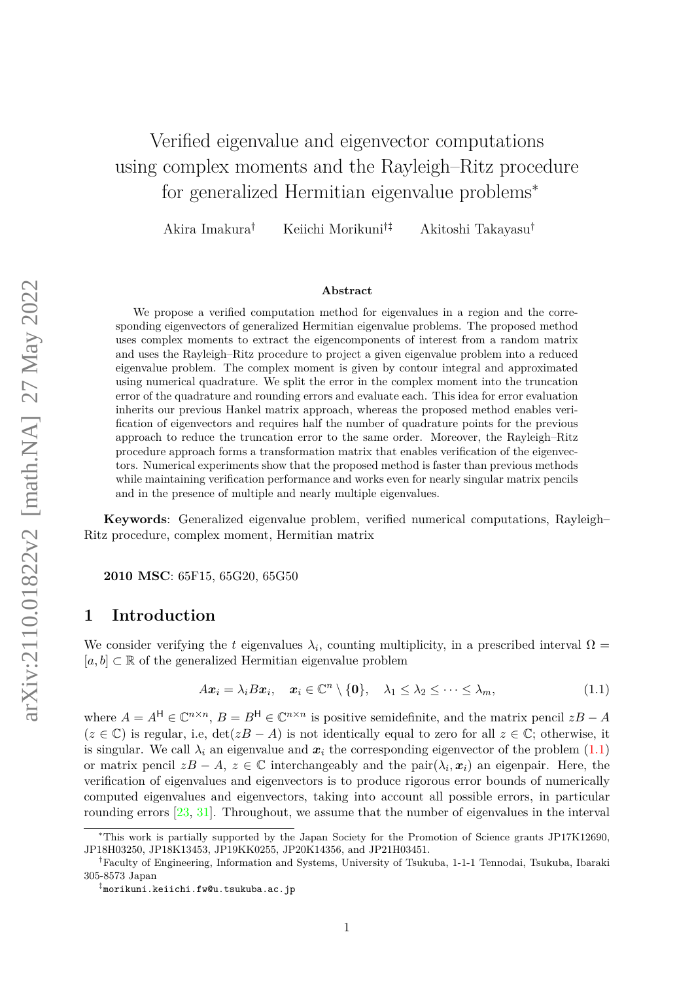# Verified eigenvalue and eigenvector computations using complex moments and the Rayleigh–Ritz procedure for generalized Hermitian eigenvalue problems<sup>\*</sup>

Akira Imakura† Keiichi Morikuni†‡ Akitoshi Takayasu†

#### **Abstract**

We propose a verified computation method for eigenvalues in a region and the corresponding eigenvectors of generalized Hermitian eigenvalue problems. The proposed method uses complex moments to extract the eigencomponents of interest from a random matrix and uses the Rayleigh–Ritz procedure to project a given eigenvalue problem into a reduced eigenvalue problem. The complex moment is given by contour integral and approximated using numerical quadrature. We split the error in the complex moment into the truncation error of the quadrature and rounding errors and evaluate each. This idea for error evaluation inherits our previous Hankel matrix approach, whereas the proposed method enables verification of eigenvectors and requires half the number of quadrature points for the previous approach to reduce the truncation error to the same order. Moreover, the Rayleigh–Ritz procedure approach forms a transformation matrix that enables verification of the eigenvectors. Numerical experiments show that the proposed method is faster than previous methods while maintaining verification performance and works even for nearly singular matrix pencils and in the presence of multiple and nearly multiple eigenvalues.

**Keywords**: Generalized eigenvalue problem, verified numerical computations, Rayleigh– Ritz procedure, complex moment, Hermitian matrix

**2010 MSC**: 65F15, 65G20, 65G50

### **1 Introduction**

We consider verifying the *t* eigenvalues  $\lambda_i$ , counting multiplicity, in a prescribed interval  $\Omega$  =  $[a, b] \subset \mathbb{R}$  of the generalized Hermitian eigenvalue problem

<span id="page-0-0"></span>
$$
Ax_i = \lambda_i Bx_i, \quad x_i \in \mathbb{C}^n \setminus \{0\}, \quad \lambda_1 \leq \lambda_2 \leq \cdots \leq \lambda_m,
$$
\n(1.1)

where  $A = A^{\mathsf{H}} \in \mathbb{C}^{n \times n}$ ,  $B = B^{\mathsf{H}} \in \mathbb{C}^{n \times n}$  is positive semidefinite, and the matrix pencil  $zB - A$  $(z \in \mathbb{C})$  is regular, i.e,  $\det(zB - A)$  is not identically equal to zero for all  $z \in \mathbb{C}$ ; otherwise, it is singular. We call  $\lambda_i$  an eigenvalue and  $x_i$  the corresponding eigenvector of the problem  $(1.1)$ or matrix pencil  $zB - A$ ,  $z \in \mathbb{C}$  interchangeably and the pair $(\lambda_i, x_i)$  an eigenpair. Here, the verification of eigenvalues and eigenvectors is to produce rigorous error bounds of numerically computed eigenvalues and eigenvectors, taking into account all possible errors, in particular rounding errors [\[23,](#page-20-0) [31\]](#page-21-0). Throughout, we assume that the number of eigenvalues in the interval

<sup>∗</sup>This work is partially supported by the Japan Society for the Promotion of Science grants JP17K12690, JP18H03250, JP18K13453, JP19KK0255, JP20K14356, and JP21H03451.

<sup>†</sup>Faculty of Engineering, Information and Systems, University of Tsukuba, 1-1-1 Tennodai, Tsukuba, Ibaraki 305-8573 Japan

<sup>‡</sup> morikuni.keiichi.fw@u.tsukuba.ac.jp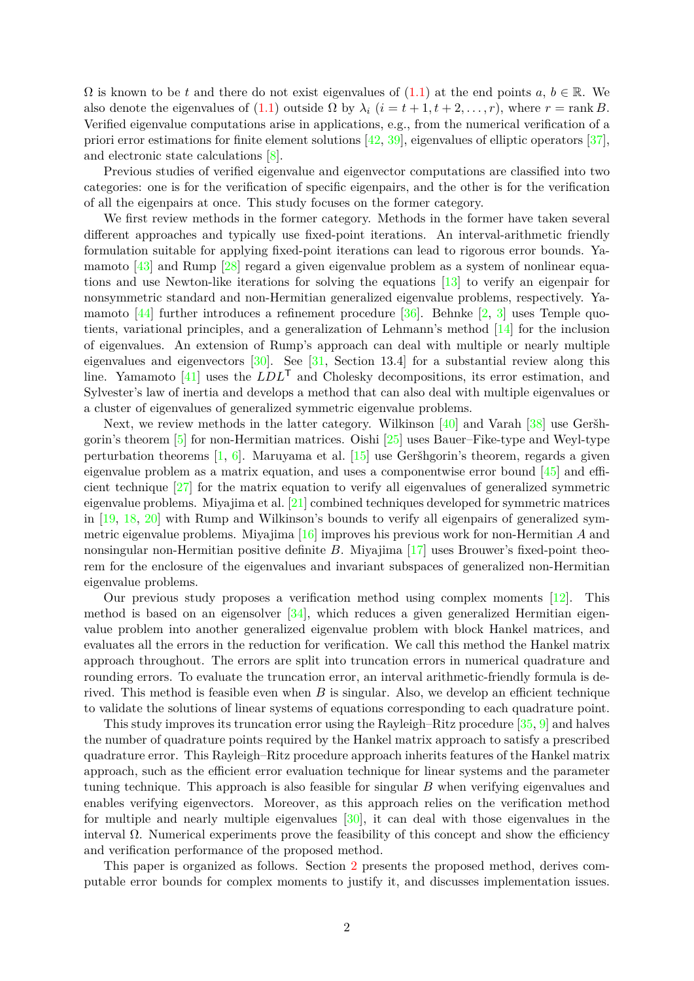$\Omega$  is known to be *t* and there do not exist eigenvalues of [\(1.1\)](#page-0-0) at the end points  $a, b \in \mathbb{R}$ . We also denote the eigenvalues of [\(1.1\)](#page-0-0) outside  $\Omega$  by  $\lambda_i$  ( $i = t + 1, t + 2, \ldots, r$ ), where  $r = \text{rank } B$ . Verified eigenvalue computations arise in applications, e.g., from the numerical verification of a priori error estimations for finite element solutions [\[42,](#page-21-1) [39\]](#page-21-2), eigenvalues of elliptic operators [\[37\]](#page-21-3), and electronic state calculations [\[8\]](#page-19-0).

Previous studies of verified eigenvalue and eigenvector computations are classified into two categories: one is for the verification of specific eigenpairs, and the other is for the verification of all the eigenpairs at once. This study focuses on the former category.

We first review methods in the former category. Methods in the former have taken several different approaches and typically use fixed-point iterations. An interval-arithmetic friendly formulation suitable for applying fixed-point iterations can lead to rigorous error bounds. Yamamoto [\[43\]](#page-21-4) and Rump [\[28\]](#page-20-1) regard a given eigenvalue problem as a system of nonlinear equations and use Newton-like iterations for solving the equations [\[13\]](#page-19-1) to verify an eigenpair for nonsymmetric standard and non-Hermitian generalized eigenvalue problems, respectively. Yamamoto  $[44]$  further introduces a refinement procedure  $[36]$ . Behnke  $[2, 3]$  $[2, 3]$  $[2, 3]$  uses Temple quotients, variational principles, and a generalization of Lehmann's method [\[14\]](#page-19-4) for the inclusion of eigenvalues. An extension of Rump's approach can deal with multiple or nearly multiple eigenvalues and eigenvectors [\[30\]](#page-21-7). See [\[31,](#page-21-0) Section 13.4] for a substantial review along this line. Yamamoto [\[41\]](#page-21-8) uses the *LDL*<sup>T</sup> and Cholesky decompositions, its error estimation, and Sylvester's law of inertia and develops a method that can also deal with multiple eigenvalues or a cluster of eigenvalues of generalized symmetric eigenvalue problems.

Next, we review methods in the latter category. Wilkinson [\[40\]](#page-21-9) and Varah [\[38\]](#page-21-10) use Geršhgorin's theorem [\[5\]](#page-19-5) for non-Hermitian matrices. Oishi [\[25\]](#page-20-2) uses Bauer–Fike-type and Weyl-type perturbation theorems [\[1,](#page-19-6) [6\]](#page-19-7). Maruyama et al. [\[15\]](#page-19-8) use Geršhgorin's theorem, regards a given eigenvalue problem as a matrix equation, and uses a componentwise error bound [\[45\]](#page-21-11) and efficient technique [\[27\]](#page-20-3) for the matrix equation to verify all eigenvalues of generalized symmetric eigenvalue problems. Miyajima et al. [\[21\]](#page-20-4) combined techniques developed for symmetric matrices in [\[19,](#page-20-5) [18,](#page-20-6) [20\]](#page-20-7) with Rump and Wilkinson's bounds to verify all eigenpairs of generalized symmetric eigenvalue problems. Miyajima [\[16\]](#page-20-8) improves his previous work for non-Hermitian *A* and nonsingular non-Hermitian positive definite *B*. Miyajima [\[17\]](#page-20-9) uses Brouwer's fixed-point theorem for the enclosure of the eigenvalues and invariant subspaces of generalized non-Hermitian eigenvalue problems.

Our previous study proposes a verification method using complex moments [\[12\]](#page-19-9). This method is based on an eigensolver  $[34]$ , which reduces a given generalized Hermitian eigenvalue problem into another generalized eigenvalue problem with block Hankel matrices, and evaluates all the errors in the reduction for verification. We call this method the Hankel matrix approach throughout. The errors are split into truncation errors in numerical quadrature and rounding errors. To evaluate the truncation error, an interval arithmetic-friendly formula is derived. This method is feasible even when *B* is singular. Also, we develop an efficient technique to validate the solutions of linear systems of equations corresponding to each quadrature point.

This study improves its truncation error using the Rayleigh–Ritz procedure [\[35,](#page-21-13) [9\]](#page-19-10) and halves the number of quadrature points required by the Hankel matrix approach to satisfy a prescribed quadrature error. This Rayleigh–Ritz procedure approach inherits features of the Hankel matrix approach, such as the efficient error evaluation technique for linear systems and the parameter tuning technique. This approach is also feasible for singular *B* when verifying eigenvalues and enables verifying eigenvectors. Moreover, as this approach relies on the verification method for multiple and nearly multiple eigenvalues [\[30\]](#page-21-7), it can deal with those eigenvalues in the interval  $\Omega$ . Numerical experiments prove the feasibility of this concept and show the efficiency and verification performance of the proposed method.

This paper is organized as follows. Section [2](#page-2-0) presents the proposed method, derives computable error bounds for complex moments to justify it, and discusses implementation issues.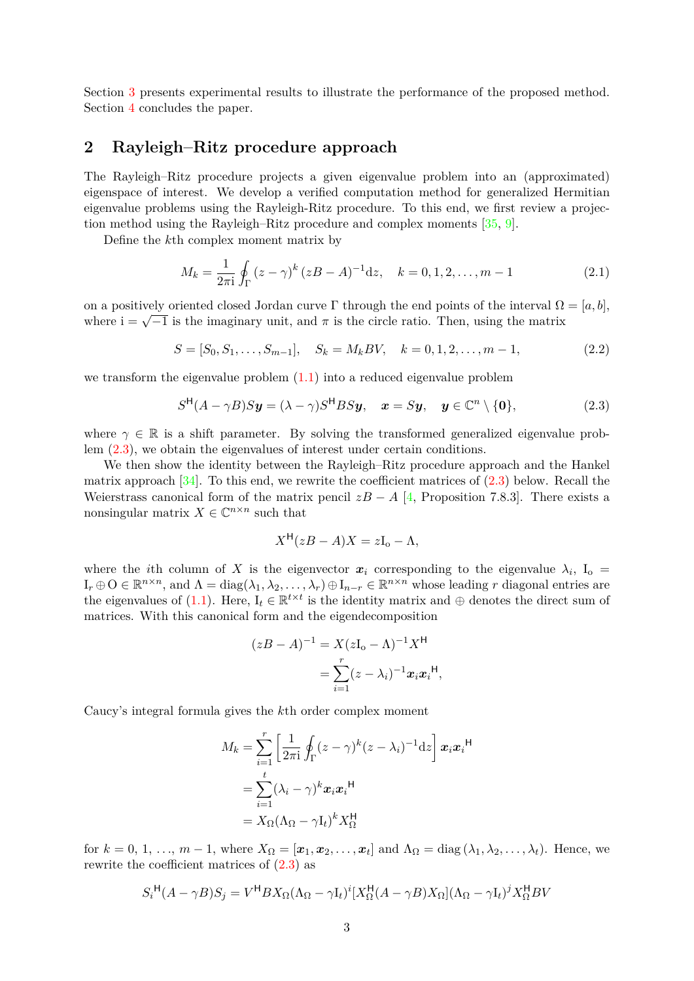Section [3](#page-10-0) presents experimental results to illustrate the performance of the proposed method. Section [4](#page-17-0) concludes the paper.

## <span id="page-2-0"></span>**2 Rayleigh–Ritz procedure approach**

The Rayleigh–Ritz procedure projects a given eigenvalue problem into an (approximated) eigenspace of interest. We develop a verified computation method for generalized Hermitian eigenvalue problems using the Rayleigh-Ritz procedure. To this end, we first review a projection method using the Rayleigh–Ritz procedure and complex moments [\[35,](#page-21-13) [9\]](#page-19-10).

Define the *k*th complex moment matrix by

<span id="page-2-3"></span>
$$
M_k = \frac{1}{2\pi i} \oint_{\Gamma} (z - \gamma)^k (zB - A)^{-1} dz, \quad k = 0, 1, 2, \dots, m - 1
$$
 (2.1)

on a positively oriented closed Jordan curve  $\Gamma$  through the end points of the interval  $\Omega = [a, b]$ , where  $i = \sqrt{-1}$  is the imaginary unit, and  $\pi$  is the circle ratio. Then, using the matrix

$$
S = [S_0, S_1, \dots, S_{m-1}], \quad S_k = M_k BV, \quad k = 0, 1, 2, \dots, m-1,
$$
\n(2.2)

we transform the eigenvalue problem [\(1.1\)](#page-0-0) into a reduced eigenvalue problem

$$
S^{\mathsf{H}}(A - \gamma B)S\mathbf{y} = (\lambda - \gamma)S^{\mathsf{H}}BS\mathbf{y}, \quad \mathbf{x} = S\mathbf{y}, \quad \mathbf{y} \in \mathbb{C}^n \setminus \{\mathbf{0}\},
$$
 (2.3)

where  $\gamma \in \mathbb{R}$  is a shift parameter. By solving the transformed generalized eigenvalue problem [\(2.3\)](#page-2-1), we obtain the eigenvalues of interest under certain conditions.

We then show the identity between the Rayleigh–Ritz procedure approach and the Hankel matrix approach  $[34]$ . To this end, we rewrite the coefficient matrices of  $(2.3)$  below. Recall the Weierstrass canonical form of the matrix pencil  $zB - A$  [\[4,](#page-19-11) Proposition 7.8.3]. There exists a nonsingular matrix  $X \in \mathbb{C}^{n \times n}$  such that

<span id="page-2-2"></span><span id="page-2-1"></span>
$$
X^{\mathsf{H}}(zB - A)X = zI_{o} - \Lambda,
$$

where the *i*th column of X is the eigenvector  $x_i$  corresponding to the eigenvalue  $\lambda_i$ ,  $I_o$  =  $I_r \oplus O \in \mathbb{R}^{n \times n}$ , and  $\Lambda = \text{diag}(\lambda_1, \lambda_2, \dots, \lambda_r) \oplus I_{n-r} \in \mathbb{R}^{n \times n}$  whose leading *r* diagonal entries are the eigenvalues of [\(1.1\)](#page-0-0). Here,  $I_t \in \mathbb{R}^{t \times t}$  is the identity matrix and  $\oplus$  denotes the direct sum of matrices. With this canonical form and the eigendecomposition

$$
(zB - A)^{-1} = X(zI_0 - A)^{-1}X^{\mathsf{H}}
$$

$$
= \sum_{i=1}^{r} (z - \lambda_i)^{-1}x_ix_i^{\mathsf{H}},
$$

Caucy's integral formula gives the *k*th order complex moment

$$
M_k = \sum_{i=1}^r \left[ \frac{1}{2\pi i} \oint_{\Gamma} (z - \gamma)^k (z - \lambda_i)^{-1} dz \right] \boldsymbol{x}_i \boldsymbol{x}_i^{\mathsf{H}}
$$
  
= 
$$
\sum_{i=1}^t (\lambda_i - \gamma)^k \boldsymbol{x}_i \boldsymbol{x}_i^{\mathsf{H}}
$$
  
= 
$$
X_{\Omega} (\Lambda_{\Omega} - \gamma I_t)^k X_{\Omega}^{\mathsf{H}}
$$

for  $k = 0, 1, ..., m - 1$ , where  $X_{\Omega} = [\boldsymbol{x}_1, \boldsymbol{x}_2, ..., \boldsymbol{x}_t]$  and  $\Lambda_{\Omega} = \text{diag}(\lambda_1, \lambda_2, ..., \lambda_t)$ . Hence, we rewrite the coefficient matrices of  $(2.3)$  as

$$
S_i^{\mathsf{H}}(A - \gamma B)S_j = V^{\mathsf{H}}BX_{\Omega}(\Lambda_{\Omega} - \gamma I_t)^i[X_{\Omega}^{\mathsf{H}}(A - \gamma B)X_{\Omega}](\Lambda_{\Omega} - \gamma I_t)^j X_{\Omega}^{\mathsf{H}}BV
$$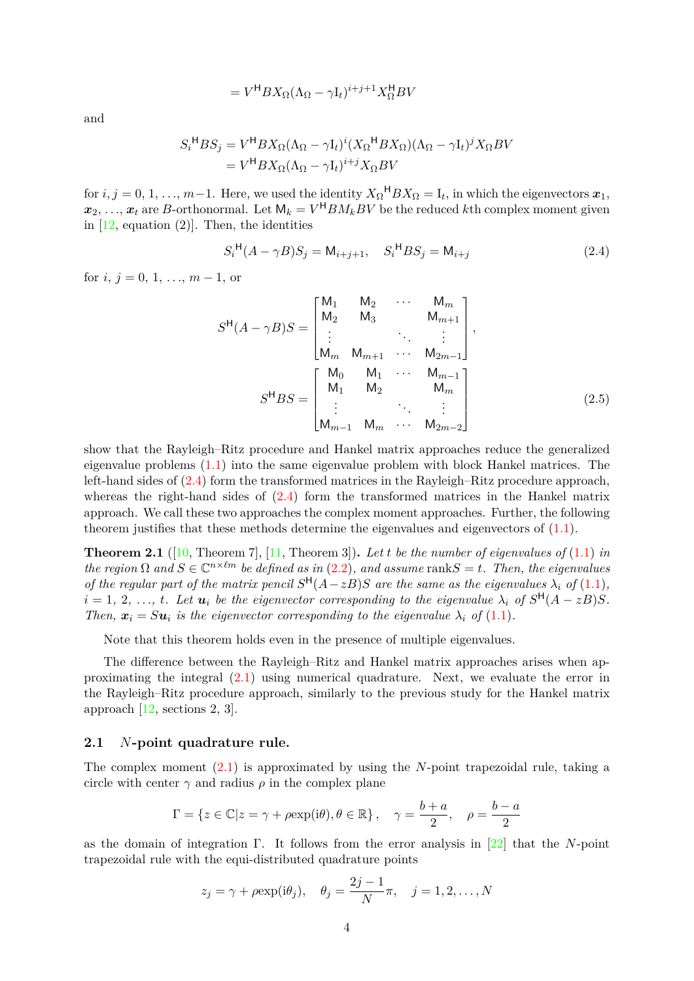$$
=V^{\mathsf{H}}BX_{\Omega}(\Lambda_{\Omega}-\gamma I_t)^{i+j+1}X_{\Omega}^{\mathsf{H}}BV
$$

and

$$
S_i^{\mathsf{H}} B S_j = V^{\mathsf{H}} B X_{\Omega} (\Lambda_{\Omega} - \gamma I_t)^i (X_{\Omega}^{\mathsf{H}} B X_{\Omega}) (\Lambda_{\Omega} - \gamma I_t)^j X_{\Omega} B V
$$
  
= 
$$
V^{\mathsf{H}} B X_{\Omega} (\Lambda_{\Omega} - \gamma I_t)^{i+j} X_{\Omega} B V
$$

for  $i, j = 0, 1, ..., m-1$ . Here, we used the identity  $X_{\Omega}$ <sup>H</sup> $BX_{\Omega} = I_t$ , in which the eigenvectors  $x_1$ ,  $x_2, \ldots, x_t$  are *B*-orthonormal. Let  $\mathsf{M}_k = V^{\mathsf{H}} B M_k B V$  be the reduced *k*th complex moment given in  $[12, \text{ equation } (2)]$  $[12, \text{ equation } (2)]$ . Then, the identities

<span id="page-3-0"></span>
$$
S_i^{\mathsf{H}}(A - \gamma B)S_j = \mathsf{M}_{i+j+1}, \quad S_i^{\mathsf{H}}BS_j = \mathsf{M}_{i+j} \tag{2.4}
$$

for  $i, j = 0, 1, \ldots, m - 1$ , or

<span id="page-3-1"></span>
$$
S^{H}(A - \gamma B)S = \begin{bmatrix} M_{1} & M_{2} & \cdots & M_{m} \\ M_{2} & M_{3} & & M_{m+1} \\ \vdots & & \ddots & \vdots \\ M_{m} & M_{m+1} & \cdots & M_{2m-1} \end{bmatrix},
$$

$$
S^{H}BS = \begin{bmatrix} M_{0} & M_{1} & \cdots & M_{m-1} \\ M_{1} & M_{2} & & M_{m} \\ \vdots & & \ddots & \vdots \\ M_{m-1} & M_{m} & \cdots & M_{2m-2} \end{bmatrix}
$$
(2.5)

show that the Rayleigh–Ritz procedure and Hankel matrix approaches reduce the generalized eigenvalue problems [\(1.1\)](#page-0-0) into the same eigenvalue problem with block Hankel matrices. The left-hand sides of [\(2.4\)](#page-3-0) form the transformed matrices in the Rayleigh–Ritz procedure approach, whereas the right-hand sides of  $(2.4)$  form the transformed matrices in the Hankel matrix approach. We call these two approaches the complex moment approaches. Further, the following theorem justifies that these methods determine the eigenvalues and eigenvectors of  $(1.1)$ .

<span id="page-3-2"></span>**Theorem 2.1** ([\[10,](#page-19-12) Theorem 7], [\[11,](#page-19-13) Theorem 3]). Let *t* be the number of eigenvalues of  $(1.1)$  *in the region*  $\Omega$  *and*  $S \in \mathbb{C}^{n \times \ell m}$  *be defined as in* [\(2.2\)](#page-2-2)*, and assume* rank $S = t$ *. Then, the eigenvalues of the regular part of the matrix pencil*  $S^H(A - zB)S$  *are the same as the eigenvalues*  $\lambda_i$  *of* [\(1.1\)](#page-0-0)*,*  $i = 1, 2, \ldots, t$ . Let  $u_i$  be the eigenvector corresponding to the eigenvalue  $\lambda_i$  of  $S^{\mathsf{H}}(A - zB)S$ . *Then,*  $\mathbf{x}_i = S \mathbf{u}_i$  *is the eigenvector corresponding to the eigenvalue*  $\lambda_i$  *of* [\(1.1\)](#page-0-0)*.* 

Note that this theorem holds even in the presence of multiple eigenvalues.

The difference between the Rayleigh–Ritz and Hankel matrix approaches arises when approximating the integral [\(2.1\)](#page-2-3) using numerical quadrature. Next, we evaluate the error in the Rayleigh–Ritz procedure approach, similarly to the previous study for the Hankel matrix approach [\[12,](#page-19-9) sections 2, 3].

### **2.1** *N***-point quadrature rule.**

The complex moment [\(2.1\)](#page-2-3) is approximated by using the *N*-point trapezoidal rule, taking a circle with center  $\gamma$  and radius  $\rho$  in the complex plane

$$
\Gamma = \left\{ z \in \mathbb{C} | z = \gamma + \rho \exp(i\theta), \theta \in \mathbb{R} \right\}, \quad \gamma = \frac{b+a}{2}, \quad \rho = \frac{b-a}{2}
$$

as the domain of integration Γ. It follows from the error analysis in [\[22\]](#page-20-10) that the *N*-point trapezoidal rule with the equi-distributed quadrature points

$$
z_j = \gamma + \rho \exp(i\theta_j), \quad \theta_j = \frac{2j-1}{N}\pi, \quad j = 1, 2, \dots, N
$$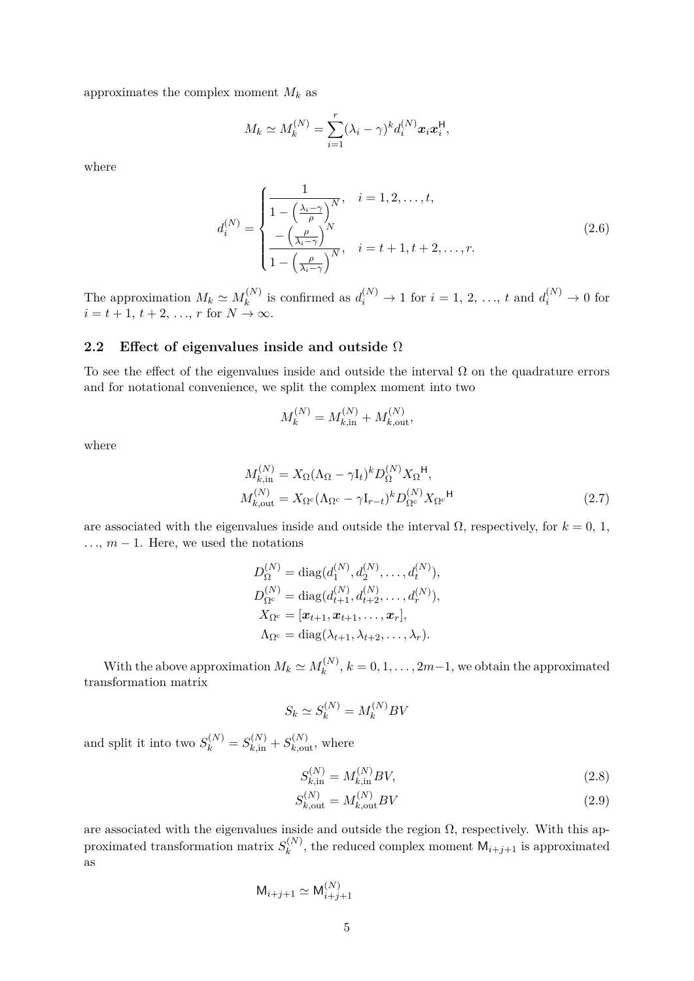approximates the complex moment  $M_k$  as

<span id="page-4-1"></span>
$$
M_k \simeq M_k^{(N)} = \sum_{i=1}^r (\lambda_i - \gamma)^k d_i^{(N)} \mathbf{x}_i \mathbf{x}_i^{\mathsf{H}},
$$

where

$$
d_i^{(N)} = \begin{cases} \frac{1}{1 - \left(\frac{\lambda_i - \gamma}{\rho}\right)^N}, & i = 1, 2, \dots, t, \\ -\left(\frac{\rho}{\lambda_i - \gamma}\right)^N, & i = t + 1, t + 2, \dots, r. \\ \frac{1}{1 - \left(\frac{\rho}{\lambda_i - \gamma}\right)^N}, & i = t + 1, t + 2, \dots, r. \end{cases}
$$
(2.6)

The approximation  $M_k \simeq M_k^{(N)}$  $d_k^{(N)}$  is confirmed as  $d_i^{(N)} \to 1$  for  $i = 1, 2, ..., t$  and  $d_i^{(N)} \to 0$  for  $i = t + 1, t + 2, \ldots, r$  for  $N \to \infty$ .

### **2.2 Effect of eigenvalues inside and outside** Ω

To see the effect of the eigenvalues inside and outside the interval  $\Omega$  on the quadrature errors and for notational convenience, we split the complex moment into two

<span id="page-4-2"></span>
$$
M_k^{(N)} = M_{k, \text{in}}^{(N)} + M_{k, \text{out}}^{(N)},
$$

where

$$
M_{k,in}^{(N)} = X_{\Omega} (\Lambda_{\Omega} - \gamma I_t)^k D_{\Omega}^{(N)} X_{\Omega}^{\mathsf{H}},
$$
  

$$
M_{k,out}^{(N)} = X_{\Omega^c} (\Lambda_{\Omega^c} - \gamma I_{r-t})^k D_{\Omega^c}^{(N)} X_{\Omega^c}^{\mathsf{H}}
$$
(2.7)

are associated with the eigenvalues inside and outside the interval  $\Omega$ , respectively, for  $k = 0, 1$ ,  $\dots, m-1$ . Here, we used the notations

$$
D_{\Omega}^{(N)} = \text{diag}(d_1^{(N)}, d_2^{(N)}, \dots, d_t^{(N)}),
$$
  
\n
$$
D_{\Omega^c}^{(N)} = \text{diag}(d_{t+1}^{(N)}, d_{t+2}^{(N)}, \dots, d_r^{(N)}),
$$
  
\n
$$
X_{\Omega^c} = [\boldsymbol{x}_{t+1}, \boldsymbol{x}_{t+1}, \dots, \boldsymbol{x}_r],
$$
  
\n
$$
\Lambda_{\Omega^c} = \text{diag}(\lambda_{t+1}, \lambda_{t+2}, \dots, \lambda_r).
$$

With the above approximation  $M_k \simeq M_k^{(N)}$  $k^{(N)}$ ,  $k = 0, 1, \ldots, 2m-1$ , we obtain the approximated transformation matrix

$$
S_k \simeq S_k^{(N)} = M_k^{(N)}BV
$$

and split it into two  $S_k^{(N)} = S_{k,\text{in}}^{(N)} + S_{k,\text{out}}^{(N)}$ , where

<span id="page-4-3"></span><span id="page-4-0"></span>
$$
S_{k,in}^{(N)} = M_{k,in}^{(N)}BV,
$$
\n(2.8)

$$
S_{k, \text{out}}^{(N)} = M_{k, \text{out}}^{(N)} BV
$$
\n(2.9)

are associated with the eigenvalues inside and outside the region  $\Omega$ , respectively. With this approximated transformation matrix  $S_k^{(N)}$  $\binom{n}{k}$ , the reduced complex moment  $M_{i+j+1}$  is approximated as

$$
\mathsf{M}_{i+j+1} \simeq \mathsf{M}_{i+j+1}^{(N)}
$$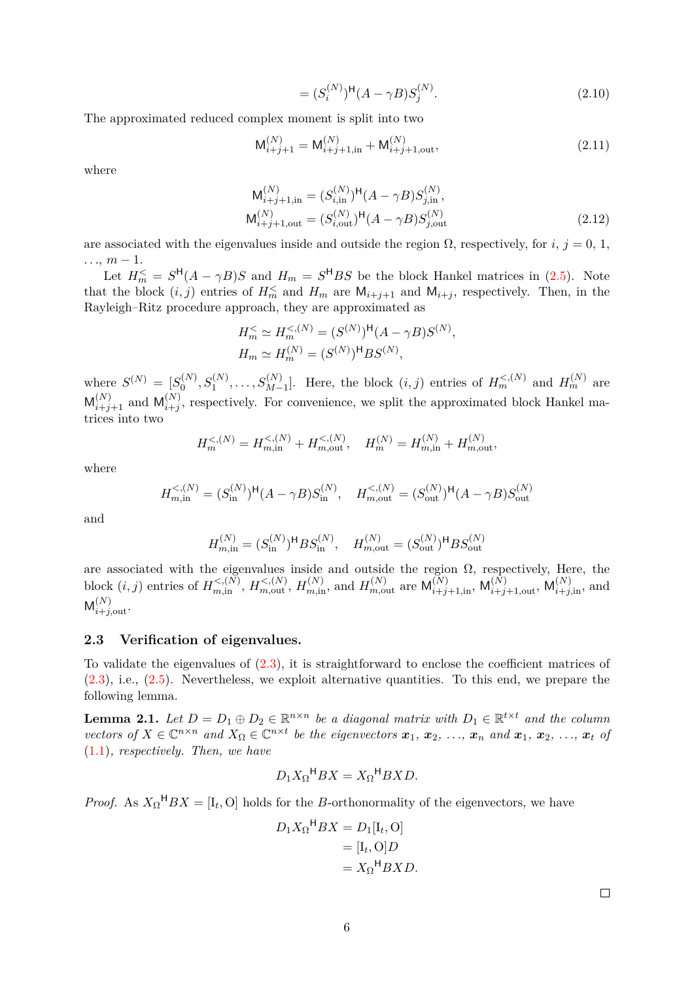<span id="page-5-3"></span><span id="page-5-2"></span><span id="page-5-1"></span>
$$
= (S_i^{(N)})^{\mathsf{H}} (A - \gamma B) S_j^{(N)}.
$$
\n(2.10)

The approximated reduced complex moment is split into two

$$
M_{i+j+1}^{(N)} = M_{i+j+1,in}^{(N)} + M_{i+j+1,out}^{(N)},
$$
\n(2.11)

where

$$
M_{i+j+1,in}^{(N)} = (S_{i,in}^{(N)})^{\mathsf{H}}(A - \gamma B)S_{j,in}^{(N)},
$$
  

$$
M_{i+j+1,out}^{(N)} = (S_{i,out}^{(N)})^{\mathsf{H}}(A - \gamma B)S_{j,out}^{(N)}
$$
(2.12)

are associated with the eigenvalues inside and outside the region  $\Omega$ , respectively, for *i*, *j* = 0, 1,  $\ldots$ ,  $m-1$ .

Let  $H_m^{\leq} = S^{\mathsf{H}}(A - \gamma B)S$  and  $H_m = S^{\mathsf{H}}BS$  be the block Hankel matrices in [\(2.5\)](#page-3-1). Note that the block  $(i, j)$  entries of  $H_m^{\le}$  and  $H_m$  are  $\mathsf{M}_{i+j+1}$  and  $\mathsf{M}_{i+j}$ , respectively. Then, in the Rayleigh–Ritz procedure approach, they are approximated as

$$
H_m^{\leq} \simeq H_m^{<(N)} = (S^{(N)})^{\mathsf{H}} (A - \gamma B) S^{(N)},
$$
  
\n
$$
H_m \simeq H_m^{(N)} = (S^{(N)})^{\mathsf{H}} B S^{(N)},
$$

where  $S^{(N)} = [S_0^{(N)}]$  $S_0^{(N)}, S_1^{(N)}, \ldots, S_{M-1}^{(N)}$ . Here, the block  $(i, j)$  entries of  $H_m^{<(N)}$  and  $H_m^{(N)}$  are  $M_{i+j+1}^{(N)}$  and  $M_{i+j}^{(N)}$  $i,j \choose i+j$ , respectively. For convenience, we split the approximated block Hankel matrices into two

$$
H_m^{<(N)} = H_{m,\text{in}}^{<(N)} + H_{m,\text{out}}^{<(N)}, \quad H_m^{(N)} = H_{m,\text{in}}^{(N)} + H_{m,\text{out}}^{(N)},
$$

where

$$
H_{m,\text{in}}^{<(N)} = (S_{\text{in}}^{(N)})^{\text{H}}(A - \gamma B)S_{\text{in}}^{(N)}, \quad H_{m,\text{out}}^{<(N)} = (S_{\text{out}}^{(N)})^{\text{H}}(A - \gamma B)S_{\text{out}}^{(N)}
$$

and

$$
H_{m, \text{in}}^{(N)} = (S_{\text{in}}^{(N)})^{\text{H}} BS_{\text{in}}^{(N)}, \quad H_{m, \text{out}}^{(N)} = (S_{\text{out}}^{(N)})^{\text{H}} BS_{\text{out}}^{(N)}
$$

are associated with the eigenvalues inside and outside the region  $\Omega$ , respectively, Here, the block  $(i, j)$  entries of  $H_{m, in}^{<(N)}$ ,  $H_{m, out}^{<(N)}$ ,  $H_{m, in}^{(N)}$ , and  $H_{m, out}^{(N)}$  are  $M_{i+j+1, in}^{(N)}$ ,  $M_{i+j+1,out}^{(N)}$ ,  $M_{i+j, in}^{(N)}$ , and  $M_{i+j, \text{out}}^{(N)}$ .

### **2.3 Verification of eigenvalues.**

To validate the eigenvalues of  $(2.3)$ , it is straightforward to enclose the coefficient matrices of [\(2.3\)](#page-2-1), i.e., [\(2.5\)](#page-3-1). Nevertheless, we exploit alternative quantities. To this end, we prepare the following lemma.

<span id="page-5-0"></span>**Lemma 2.1.** *Let*  $D = D_1 \oplus D_2 \in \mathbb{R}^{n \times n}$  *be a diagonal matrix with*  $D_1 \in \mathbb{R}^{t \times t}$  *and the column* vectors of  $X \in \mathbb{C}^{n \times n}$  and  $X_{\Omega} \in \mathbb{C}^{n \times t}$  be the eigenvectors  $x_1, x_2, ..., x_n$  and  $x_1, x_2, ..., x_t$  of [\(1.1\)](#page-0-0)*, respectively. Then, we have*

$$
D_1X_{\Omega}^{\mathsf{H}}BX = X_{\Omega}^{\mathsf{H}}BXD.
$$

*Proof.* As  $X_{\Omega}$ <sup>H</sup> $BX = [I_t, O]$  holds for the *B*-orthonormality of the eigenvectors, we have

$$
D_1 X_{\Omega}^{\mathsf{H}} BX = D_1[I_t, O]
$$
  
=  $[I_t, O]D$   
=  $X_{\Omega}^{\mathsf{H}} BXD$ .

 $\Box$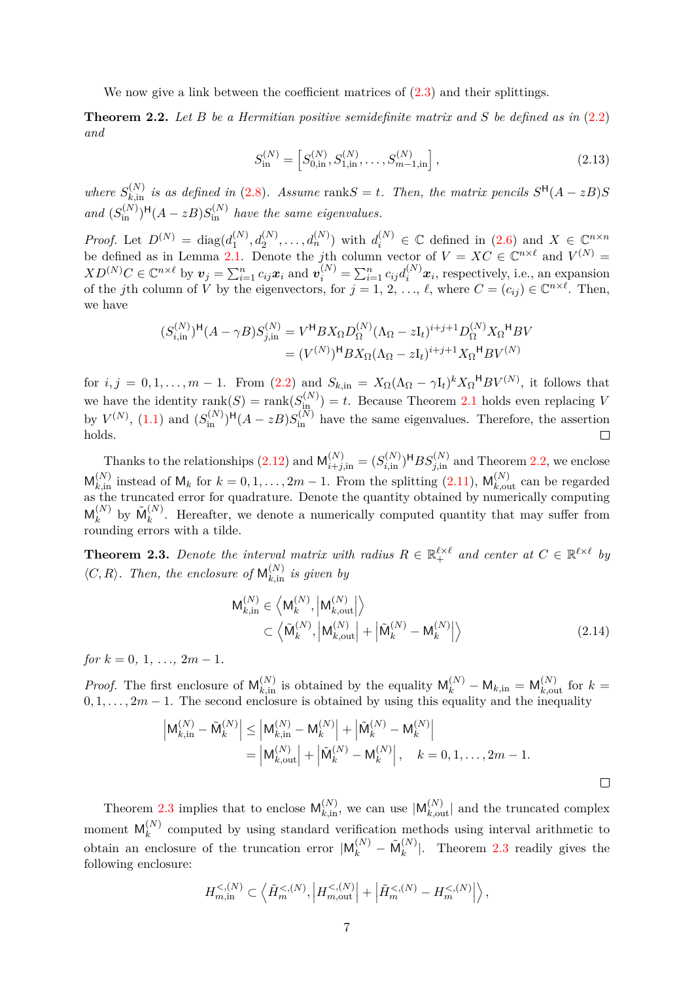We now give a link between the coefficient matrices of  $(2.3)$  and their splittings.

<span id="page-6-0"></span>**Theorem 2.2.** *Let B be a Hermitian positive semidefinite matrix and S be defined as in* [\(2.2\)](#page-2-2) *and*

<span id="page-6-2"></span>
$$
S_{\text{in}}^{(N)} = \left[ S_{0,\text{in}}^{(N)}, S_{1,\text{in}}^{(N)}, \dots, S_{m-1,\text{in}}^{(N)} \right],\tag{2.13}
$$

*where*  $S_{k,in}^{(N)}$  *is as defined in* [\(2.8\)](#page-4-0)*.* Assume rank $S = t$ *. Then, the matrix pencils*  $S^{\mathsf{H}}(A - zB)S$ and  $(S_{\text{in}}^{(N)})^{\text{H}}(A-zB)S_{\text{in}}^{(N)}$  have the same eigenvalues.

*Proof.* Let  $D^{(N)} = \text{diag}(d_1^{(N)})$  $d_1^{(N)}, d_2^{(N)}, \ldots, d_n^{(N)}$  with  $d_i^{(N)} \in \mathbb{C}$  defined in  $(2.6)$  and  $X \in \mathbb{C}^{n \times n}$ be defined as in Lemma [2.1.](#page-5-0) Denote the *j*th column vector of  $V = XC \in \mathbb{C}^{n \times \ell}$  and  $V^{(N)} =$  $XD^{(N)}C \in \mathbb{C}^{n \times \ell}$  by  $v_j = \sum_{i=1}^n c_{ij}x_i$  and  $v_i^{(N)} = \sum_{i=1}^n c_{ij}d_i^{(N)}x_i$ , respectively, i.e., an expansion of the *j*th column of  $\dot{V}$  by the eigenvectors, for  $j = 1, 2, ..., \ell$ , where  $C = (c_{ij}) \in \mathbb{C}^{n \times \ell}$ . Then, we have

$$
(S_{i,\text{in}}^{(N)})^{\text{H}}(A - \gamma B)S_{j,\text{in}}^{(N)} = V^{\text{H}}BX_{\Omega}D_{\Omega}^{(N)}(\Lambda_{\Omega} - zI_{t})^{i+j+1}D_{\Omega}^{(N)}X_{\Omega}^{\text{H}}BV
$$

$$
= (V^{(N)})^{\text{H}}BX_{\Omega}(\Lambda_{\Omega} - zI_{t})^{i+j+1}X_{\Omega}^{\text{H}}BV^{(N)}
$$

for  $i, j = 0, 1, \ldots, m-1$ . From  $(2.2)$  and  $S_{k,in} = X_{\Omega} (\Lambda_{\Omega} - \gamma I_t)^k X_{\Omega}^{\mathsf{H}} B V^{(N)}$ , it follows that we have the identity  $rank(S) = rank(S_{\text{in}}^{(N)}) = t$ . Because Theorem [2.1](#page-3-2) holds even replacing *V* by  $V^{(N)}$ , [\(1.1\)](#page-0-0) and  $(S_{\text{in}}^{(N)})^{\text{H}}(A-zB)S_{\text{in}}^{(N)}$  have the same eigenvalues. Therefore, the assertion holds.  $\Box$ 

Thanks to the relationships  $(2.12)$  and  $\mathsf{M}_{i+j,\text{in}}^{(N)} = (S_{i,\text{in}}^{(N)})^{\text{H}} BS_{j,\text{in}}^{(N)}$  and Theorem [2.2,](#page-6-0) we enclose  $\mathsf{M}_{k,\text{in}}^{(N)}$  instead of  $\mathsf{M}_k$  for  $k = 0, 1, \ldots, 2m - 1$ . From the splitting  $(2.11)$ ,  $\mathsf{M}_{k,\text{out}}^{(N)}$  can be regarded as the truncated error for quadrature. Denote the quantity obtained by numerically computing  $\mathsf{M}_k^{(N)}$  $\mathfrak{h}_k^{(N)}$  by  $\tilde{\mathsf{M}}_k^{(N)}$  $k^{(N)}$ . Hereafter, we denote a numerically computed quantity that may suffer from rounding errors with a tilde.

<span id="page-6-1"></span>**Theorem 2.3.** Denote the interval matrix with radius  $R \in \mathbb{R}_+^{\ell \times \ell}$  and center at  $C \in \mathbb{R}^{\ell \times \ell}$  by  $\langle C, R \rangle$ . Then, the enclosure of  $\mathsf{M}_{k, \text{in}}^{(N)}$  is given by

<span id="page-6-3"></span>
$$
\mathsf{M}_{k,in}^{(N)} \in \left\langle \mathsf{M}_{k}^{(N)}, \left| \mathsf{M}_{k,out}^{(N)} \right| \right\rangle \subset \left\langle \tilde{\mathsf{M}}_{k}^{(N)}, \left| \mathsf{M}_{k,out}^{(N)} \right| + \left| \tilde{\mathsf{M}}_{k}^{(N)} - \mathsf{M}_{k}^{(N)} \right| \right\rangle
$$
\n(2.14)

 $for k = 0, 1, \ldots, 2m - 1.$ 

*Proof.* The first enclosure of  $M_{k,in}^{(N)}$  is obtained by the equality  $M_k^{(N)} - M_{k,in} = M_{k,out}^{(N)}$  for  $k =$  $0, 1, \ldots, 2m-1$ . The second enclosure is obtained by using this equality and the inequality

$$
\begin{aligned} \left| \mathsf{M}_{k,\text{in}}^{(N)} - \tilde{\mathsf{M}}_k^{(N)} \right| &\leq \left| \mathsf{M}_{k,\text{in}}^{(N)} - \mathsf{M}_k^{(N)} \right| + \left| \tilde{\mathsf{M}}_k^{(N)} - \mathsf{M}_k^{(N)} \right| \\ &= \left| \mathsf{M}_{k,\text{out}}^{(N)} \right| + \left| \tilde{\mathsf{M}}_k^{(N)} - \mathsf{M}_k^{(N)} \right|, \quad k = 0, 1, \dots, 2m - 1. \end{aligned}
$$

Theorem [2.3](#page-6-1) implies that to enclose  $\mathsf{M}_{k,\text{in}}^{(N)}$ , we can use  $|\mathsf{M}_{k,\text{out}}^{(N)}|$  and the truncated complex moment  $\mathsf{M}_k^{(N)}$  $k$ <sup>(N)</sup> computed by using standard verification methods using interval arithmetic to obtain an enclosure of the truncation error  $|M_k^{(N)} - \tilde{M}_k^{(N)}|$  $\binom{N}{k}$ . Theorem [2.3](#page-6-1) readily gives the following enclosure:

$$
H_{m,\operatorname{in}}^{<(N)} \subset \left\langle \tilde{H}_m^{<(N)}, \left| H_{m,\operatorname{out}}^{<(N)} \right| + \left| \tilde{H}_m^{<(N)} - H_m^{<(N)} \right| \right\rangle,
$$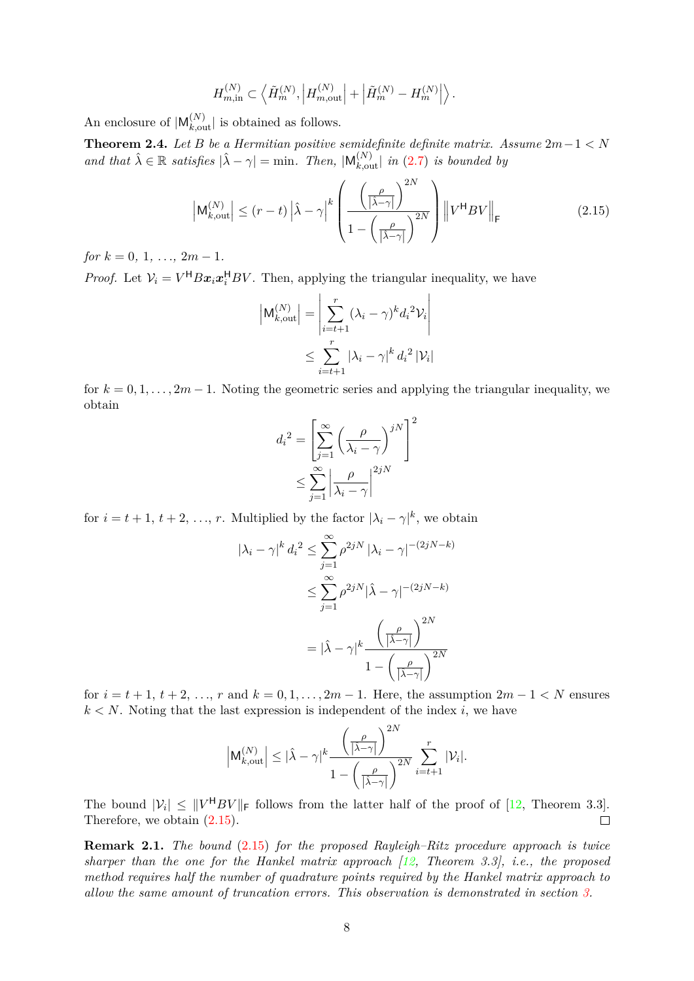$$
H_{m,\text{in}}^{(N)} \subset \left\langle \tilde{H}_m^{(N)}, \left| H_{m,\text{out}}^{(N)} \right| + \left| \tilde{H}_m^{(N)} - H_m^{(N)} \right| \right\rangle.
$$

An enclosure of  $|M_{k,\text{out}}^{(N)}|$  is obtained as follows.

<span id="page-7-1"></span>**Theorem 2.4.** *Let B be a Hermitian positive semidefinite definite matrix. Assume*  $2m-1 < N$ *and that*  $\hat{\lambda} \in \mathbb{R}$  *satisfies*  $|\hat{\lambda} - \gamma| = \min$ . Then,  $|M_{k,\text{out}}^{(N)}|$  *in* [\(2.7\)](#page-4-2) *is bounded by* 

$$
\left| \mathsf{M}_{k,\text{out}}^{(N)} \right| \leq (r-t) \left| \hat{\lambda} - \gamma \right|^k \left( \frac{\left( \frac{\rho}{\left| \hat{\lambda} - \gamma \right|} \right)^{2N}}{1 - \left( \frac{\rho}{\left| \hat{\lambda} - \gamma \right|} \right)^{2N}} \right) \left\| V^{\mathsf{H}} B V \right\|_{\mathsf{F}} \tag{2.15}
$$

 $for k = 0, 1, ..., 2m - 1.$ 

*Proof.* Let  $V_i = V^H B x_i x_i^H B V$ . Then, applying the triangular inequality, we have

<span id="page-7-0"></span>
$$
\left| \mathsf{M}_{k,\text{out}}^{(N)} \right| = \left| \sum_{i=t+1}^{r} (\lambda_i - \gamma)^k d_i^2 \mathcal{V}_i \right|
$$
  

$$
\leq \sum_{i=t+1}^{r} |\lambda_i - \gamma|^k d_i^2 |\mathcal{V}_i|
$$

for  $k = 0, 1, \ldots, 2m - 1$ . Noting the geometric series and applying the triangular inequality, we obtain

$$
d_i^2 = \left[ \sum_{j=1}^{\infty} \left( \frac{\rho}{\lambda_i - \gamma} \right)^{jN} \right]^2
$$

$$
\leq \sum_{j=1}^{\infty} \left| \frac{\rho}{\lambda_i - \gamma} \right|^{2jN}
$$

for  $i = t + 1, t + 2, \ldots, r$ . Multiplied by the factor  $|\lambda_i - \gamma|^k$ , we obtain

$$
|\lambda_i - \gamma|^k d_i^2 \le \sum_{j=1}^{\infty} \rho^{2jN} |\lambda_i - \gamma|^{-(2jN-k)}
$$
  

$$
\le \sum_{j=1}^{\infty} \rho^{2jN} |\hat{\lambda} - \gamma|^{-(2jN-k)}
$$
  

$$
= |\hat{\lambda} - \gamma|^k \frac{\left(\frac{\rho}{|\hat{\lambda} - \gamma|}\right)^{2N}}{1 - \left(\frac{\rho}{|\hat{\lambda} - \gamma|}\right)^{2N}}
$$

for  $i = t + 1, t + 2, \ldots, r$  and  $k = 0, 1, \ldots, 2m - 1$ . Here, the assumption  $2m - 1 < N$  ensures  $k < N$ . Noting that the last expression is independent of the index *i*, we have

$$
\Big|\mathsf{M}_{k,\mathrm{out}}^{(N)}\Big|\leq |\hat{\lambda}-\gamma|^{k}\frac{\left(\frac{\rho}{|\hat{\lambda}-\gamma|}\right)^{2N}}{1-\left(\frac{\rho}{|\hat{\lambda}-\gamma|}\right)^{2N}}\sum_{i=t+1}^{r}|\mathcal{V}_{i}|.
$$

The bound  $|V_i| \leq ||V^H BV||_F$  follows from the latter half of the proof of [\[12,](#page-19-9) Theorem 3.3]. Therefore, we obtain [\(2.15\)](#page-7-0).  $\Box$ 

**Remark 2.1.** *The bound* [\(2.15\)](#page-7-0) *for the proposed Rayleigh–Ritz procedure approach is twice sharper than the one for the Hankel matrix approach [\[12,](#page-19-9) Theorem 3.3], i.e., the proposed method requires half the number of quadrature points required by the Hankel matrix approach to allow the same amount of truncation errors. This observation is demonstrated in section [3.](#page-10-0)*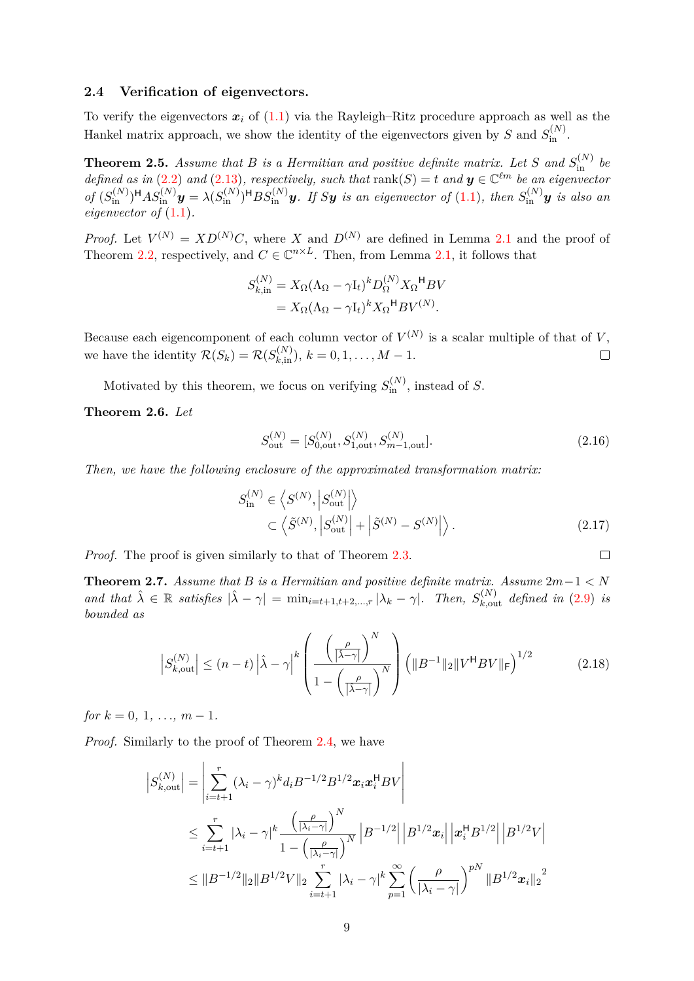### **2.4 Verification of eigenvectors.**

To verify the eigenvectors  $x_i$  of  $(1.1)$  via the Rayleigh–Ritz procedure approach as well as the Hankel matrix approach, we show the identity of the eigenvectors given by *S* and  $S_{\text{in}}^{(N)}$ .

**Theorem 2.5.** Assume that B is a Hermitian and positive definite matrix. Let S and  $S_{\text{in}}^{(N)}$  be *defined as in* [\(2.2\)](#page-2-2) *and* [\(2.13\)](#page-6-2)*, respectively, such that*  $rank(S) = t$  *and*  $y \in \mathbb{C}^{\ell m}$  *be an eigenvector* of  $(S_{\text{in}}^{(N)})^{\text{H}}AS_{\text{in}}^{(N)}y = \lambda(S_{\text{in}}^{(N)})^{\text{H}}BS_{\text{in}}^{(N)}y$ . If Sy is an eigenvector of [\(1.1\)](#page-0-0), then  $S_{\text{in}}^{(N)}y$  is also an *eigenvector of* [\(1.1\)](#page-0-0)*.*

*Proof.* Let  $V^{(N)} = XD^{(N)}C$ , where *X* and  $D^{(N)}$  are defined in Lemma [2.1](#page-5-0) and the proof of Theorem [2.2,](#page-6-0) respectively, and  $C \in \mathbb{C}^{n \times L}$ . Then, from Lemma [2.1,](#page-5-0) it follows that

$$
S_{k,in}^{(N)} = X_{\Omega} (\Lambda_{\Omega} - \gamma I_t)^k D_{\Omega}^{(N)} X_{\Omega}^{\mathsf{H}} B V
$$
  
=  $X_{\Omega} (\Lambda_{\Omega} - \gamma I_t)^k X_{\Omega}^{\mathsf{H}} B V^{(N)}.$ 

Because each eigencomponent of each column vector of  $V^{(N)}$  is a scalar multiple of that of *V*, we have the identity  $\mathcal{R}(S_k) = \mathcal{R}(S_{k,\text{in}}^{(N)}), k = 0, 1, \ldots, M - 1.$  $\Box$ 

Motivated by this theorem, we focus on verifying  $S_{\text{in}}^{(N)}$ , instead of *S*.

**Theorem 2.6.** *Let*

$$
S_{\text{out}}^{(N)} = [S_{0,\text{out}}^{(N)}, S_{1,\text{out}}^{(N)}, S_{m-1,\text{out}}^{(N)}].
$$
\n(2.16)

*Then, we have the following enclosure of the approximated transformation matrix:*

$$
S_{\text{in}}^{(N)} \in \left\langle S^{(N)}, \left| S_{\text{out}}^{(N)} \right| \right\rangle
$$
  

$$
\subset \left\langle \tilde{S}^{(N)}, \left| S_{\text{out}}^{(N)} \right| + \left| \tilde{S}^{(N)} - S^{(N)} \right| \right\rangle.
$$
 (2.17)

<span id="page-8-3"></span><span id="page-8-1"></span><span id="page-8-0"></span> $\Box$ 

*Proof.* The proof is given similarly to that of Theorem [2.3.](#page-6-1)

<span id="page-8-2"></span>**Theorem 2.7.** *Assume that B is a Hermitian and positive definite matrix. Assume*  $2m-1 < N$ and that  $\hat{\lambda} \in \mathbb{R}$  satisfies  $|\hat{\lambda} - \gamma| = \min_{i=t+1, t+2, ..., r} |\lambda_k - \gamma|$ . Then,  $S_{k, \text{out}}^{(N)}$  defined in [\(2.9\)](#page-4-3) is *bounded as*

$$
\left| S_{k,\text{out}}^{(N)} \right| \le (n-t) \left| \hat{\lambda} - \gamma \right|^k \left( \frac{\left( \frac{\rho}{\left| \hat{\lambda} - \gamma \right|} \right)^N}{1 - \left( \frac{\rho}{\left| \hat{\lambda} - \gamma \right|} \right)^N} \right) \left( \| B^{-1} \|_2 \| V^\mathsf{H} B V \|_\mathsf{F} \right)^{1/2} \tag{2.18}
$$

 $for k = 0, 1, ..., m - 1.$ 

*Proof.* Similarly to the proof of Theorem [2.4,](#page-7-1) we have

$$
\begin{split} \left| S_{k,\text{out}}^{(N)} \right| &= \left| \sum_{i=t+1}^{r} (\lambda_i - \gamma)^k d_i B^{-1/2} B^{1/2} x_i x_i^{\mathsf{H}} B V \right| \\ &\le \sum_{i=t+1}^{r} |\lambda_i - \gamma|^k \frac{\left( \frac{\rho}{|\lambda_i - \gamma|} \right)^N}{1 - \left( \frac{\rho}{|\lambda_i - \gamma|} \right)^N} \left| B^{-1/2} \right| \left| B^{1/2} x_i \right| \left| x_i^{\mathsf{H}} B^{1/2} \right| \left| B^{1/2} V \right| \\ &\le \| B^{-1/2} \|_2 \| B^{1/2} V \|_2 \sum_{i=t+1}^{r} |\lambda_i - \gamma|^k \sum_{p=1}^{\infty} \left( \frac{\rho}{|\lambda_i - \gamma|} \right)^{pN} \| B^{1/2} x_i \|_2^2 \end{split}
$$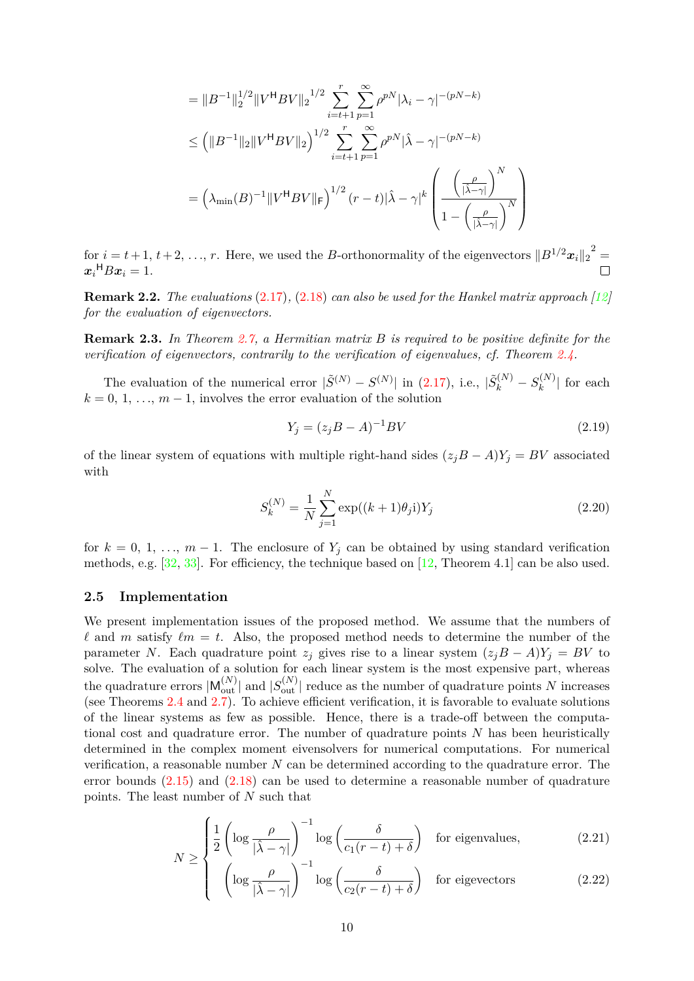$$
= ||B^{-1}||_2^{1/2} ||V^{\mathsf{H}}BV||_2^{1/2} \sum_{i=t+1}^r \sum_{p=1}^\infty \rho^{pN} |\lambda_i - \gamma|^{-(pN-k)}
$$
  

$$
\leq (||B^{-1}||_2 ||V^{\mathsf{H}}BV||_2)^{1/2} \sum_{i=t+1}^r \sum_{p=1}^\infty \rho^{pN} |\hat{\lambda} - \gamma|^{-(pN-k)}
$$
  

$$
= (\lambda_{\min}(B)^{-1} ||V^{\mathsf{H}}BV||_F)^{1/2} (r-t) |\hat{\lambda} - \gamma|^k \left( \frac{\left(\frac{\rho}{|\hat{\lambda} - \gamma|}\right)^N}{1 - \left(\frac{\rho}{|\hat{\lambda} - \gamma|}\right)^N} \right)
$$

for  $i = t + 1, t + 2, \ldots, r$ . Here, we used the *B*-orthonormality of the eigenvectors  $||B^{1/2}x_i||_2^2 =$  $x_i$ <sup>H</sup> $Bx_i = 1$ .

**Remark 2.2.** *The evaluations* [\(2.17\)](#page-8-0)*,* [\(2.18\)](#page-8-1) *can also be used for the Hankel matrix approach [\[12\]](#page-19-9) for the evaluation of eigenvectors.*

**Remark 2.3.** *In Theorem [2.7,](#page-8-2) a Hermitian matrix B is required to be positive definite for the verification of eigenvectors, contrarily to the verification of eigenvalues, cf. Theorem [2.4.](#page-7-1)*

The evaluation of the numerical error  $|\tilde{S}^{(N)} - S^{(N)}|$  in [\(2.17\)](#page-8-0), i.e.,  $|\tilde{S}_k^{(N)} - S_k^{(N)}|$  $\binom{k^{(N)}}{k}$  for each  $k = 0, 1, \ldots, m - 1$ , involves the error evaluation of the solution

<span id="page-9-3"></span><span id="page-9-2"></span>
$$
Y_j = (z_j B - A)^{-1}BV
$$
\n(2.19)

of the linear system of equations with multiple right-hand sides  $(z_jB - A)Y_j = BV$  associated with

$$
S_k^{(N)} = \frac{1}{N} \sum_{j=1}^{N} \exp((k+1)\theta_j \mathbf{i}) Y_j
$$
\n(2.20)

for  $k = 0, 1, \ldots, m - 1$ . The enclosure of  $Y_j$  can be obtained by using standard verification methods, e.g.  $[32, 33]$  $[32, 33]$  $[32, 33]$ . For efficiency, the technique based on  $[12,$  Theorem 4.1 can be also used.

### **2.5 Implementation**

We present implementation issues of the proposed method. We assume that the numbers of  $\ell$  and *m* satisfy  $\ell m = t$ . Also, the proposed method needs to determine the number of the parameter *N*. Each quadrature point  $z_j$  gives rise to a linear system  $(z_jB - A)Y_j = BV$  to solve. The evaluation of a solution for each linear system is the most expensive part, whereas the quadrature errors  $|M_{\text{out}}^{(N)}|$  and  $|S_{\text{out}}^{(N)}|$  reduce as the number of quadrature points *N* increases (see Theorems [2.4](#page-7-1) and [2.7\)](#page-8-2). To achieve efficient verification, it is favorable to evaluate solutions of the linear systems as few as possible. Hence, there is a trade-off between the computational cost and quadrature error. The number of quadrature points *N* has been heuristically determined in the complex moment eivensolvers for numerical computations. For numerical verification, a reasonable number *N* can be determined according to the quadrature error. The error bounds  $(2.15)$  and  $(2.18)$  can be used to determine a reasonable number of quadrature points. The least number of *N* such that

$$
N \ge \begin{cases} \frac{1}{2} \left( \log \frac{\rho}{|\hat{\lambda} - \gamma|} \right)^{-1} \log \left( \frac{\delta}{c_1(r - t) + \delta} \right) & \text{for eigenvalues,} \end{cases}
$$
 (2.21)

<span id="page-9-1"></span><span id="page-9-0"></span>
$$
\left\{\n\begin{array}{c}\n\text{log} \\
\text{log} \\
\text{log} \\
\text{log}\left(\frac{\delta}{c_2(r-t)+\delta}\right)\n\end{array}\n\right.\n\text{for eigenvectors}\n\tag{2.22}
$$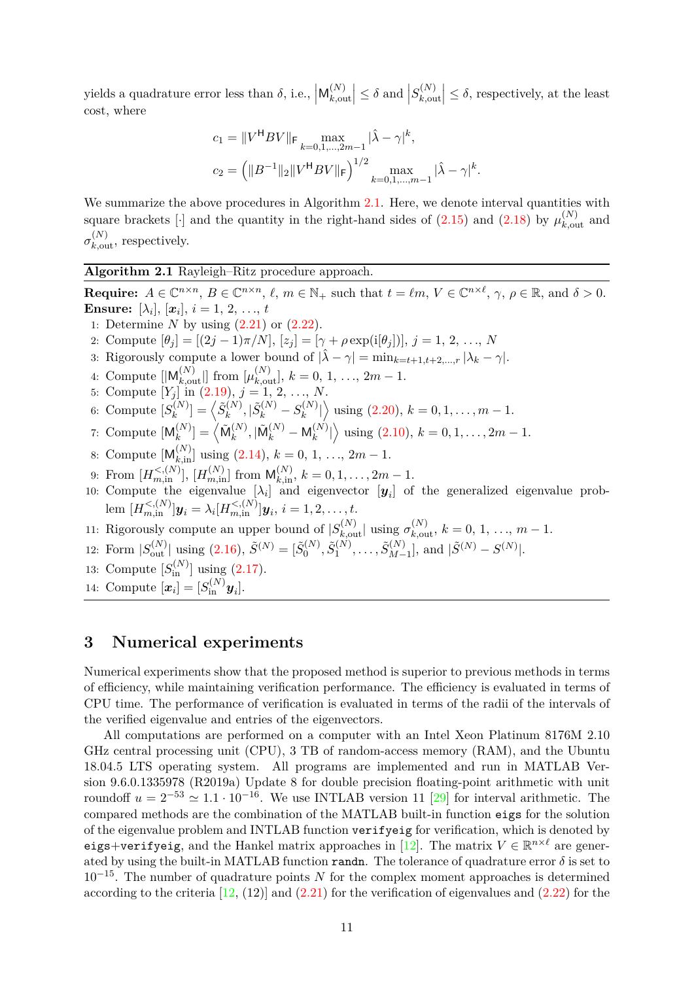yields a quadrature error less than  $\delta$ , i.e.,  $\left| \mathsf{M}_{k,\text{ou}}^{(N)} \right|$  $\begin{aligned} \binom{N}{k,\text{out}} \leq \delta \text{ and } \left| S_{k,\text{out}}^{(N)} \right| \leq \delta \end{aligned}$  $\left| \sum_{k,\text{out}}^{(N)} \right| \leq \delta$ , respectively, at the least cost, where

$$
c_1 = ||V^{\mathsf{H}}BV||_{\mathsf{F}} \max_{k=0,1,\dots,2m-1} |\hat{\lambda} - \gamma|^k,
$$
  

$$
c_2 = (||B^{-1}||_2||V^{\mathsf{H}}BV||_{\mathsf{F}})^{1/2} \max_{k=0,1,\dots,m-1} |\hat{\lambda} - \gamma|^k
$$

*.*

We summarize the above procedures in Algorithm [2.1.](#page-10-1) Here, we denote interval quantities with square brackets [ $\cdot$ ] and the quantity in the right-hand sides of [\(2.15\)](#page-7-0) and [\(2.18\)](#page-8-1) by  $\mu_{k,out}^{(N)}$  and  $\sigma_{k,\text{out}}^{(N)}$ , respectively.

<span id="page-10-1"></span>**Algorithm 2.1** Rayleigh–Ritz procedure approach.

**Require:**  $A \in \mathbb{C}^{n \times n}$ ,  $B \in \mathbb{C}^{n \times n}$ ,  $\ell$ ,  $m \in \mathbb{N}_+$  such that  $t = \ell m$ ,  $V \in \mathbb{C}^{n \times \ell}$ ,  $\gamma$ ,  $\rho \in \mathbb{R}$ , and  $\delta > 0$ . **Ensure:** [ $\lambda_i$ ], [ $\bm{x}_i$ ],  $i = 1, 2, ..., t$ 1: Determine *N* by using [\(2.21\)](#page-9-0) or [\(2.22\)](#page-9-1). 2: Compute  $[\theta_j] = [(2j-1)\pi/N], [z_j] = [\gamma + \rho \exp(i[\theta_j])], j = 1, 2, ..., N$ 3: Rigorously compute a lower bound of  $|\hat{\lambda} - \gamma| = \min_{k=t+1, t+2, ..., r} |\lambda_k - \gamma|$ . 4: Compute  $[|M_{k,\text{out}}^{(N)}|]$  from  $[\mu_{k,\text{out}}^{(N)}]$ ,  $k = 0, 1, ..., 2m - 1$ . 5: Compute  $[Y_j]$  in  $(2.19), j = 1, 2, ..., N$  $(2.19), j = 1, 2, ..., N$ . 6: Compute  $[S_k^{(N)}]$  $\binom{N}{k} = \left< \tilde{S}^{(N)}_k \right.$  $S_k^{(N)}, |\tilde{S}_k^{(N)}-S_k^{(N)}|$  $\binom{n(N)}{k}$  using [\(2.20\)](#page-9-3),  $k = 0, 1, ..., m - 1$ . 7: Compute  $\mathcal{M}_k^{(N)}$  $\binom{N}{k}$  =  $\left<\tilde{\mathsf{M}}_k^{(N)}\right>$  $\binom{N}{k}, \vert \tilde{\sf M}^{(N)}_k - {\sf M}^{(N)}_k$  ${k(N) \choose k}$  using [\(2.10\)](#page-5-3),  $k = 0, 1, ..., 2m - 1$ . 8: Compute  $[M_{k,in}^{(N)}]$  using  $(2.14), k = 0, 1, ..., 2m - 1$  $(2.14), k = 0, 1, ..., 2m - 1$ . 9: From  $[H_{m,\text{in}}^{<(N)}], [H_{m,\text{in}}^{(N)}]$  from  $\mathsf{M}_{k,\text{in}}^{(N)}, k = 0, 1, \ldots, 2m - 1$ . 10: Compute the eigenvalue  $[\lambda_i]$  and eigenvector  $[y_i]$  of the generalized eigenvalue prob- $\text{lem } [H_{m,\text{in}}^{<(N)}]$ *y*<sub>*i*</sub> =  $\lambda_i[H_{m,\text{in}}^{<(N)}]$ *y*<sub>*i*</sub>, *i* = 1, 2, . . . , *t*. 11: Rigorously compute an upper bound of  $|S_{k,\text{out}}^{(N)}|$  using  $\sigma_{k,\text{out}}^{(N)}$ ,  $k = 0, 1, ..., m - 1$ . 12: Form  $|S_{\text{out}}^{(N)}|$  using  $(2.16), \,\tilde{S}^{(N)} = [\tilde{S}_0^{(N)}]$  $(2.16), \,\tilde{S}^{(N)} = [\tilde{S}_0^{(N)}]$  $\widetilde{S}^{(N)}_1, \widetilde{S}^{(N)}_1$  $\tilde{S}^{(N)}_1, \ldots, \tilde{S}^{(N)}_{M-1}$  $\left[\tilde{S}^{(N)} - S^{(N)}\right]$ , and  $\left|\tilde{S}^{(N)} - S^{(N)}\right|$ . 13: Compute  $[S_{\text{in}}^{(N)}]$  using  $(2.17)$ . 14: Compute  $[\boldsymbol{x}_i] = [S_{\text{in}}^{(N)} \boldsymbol{y}_i].$ 

# <span id="page-10-0"></span>**3 Numerical experiments**

Numerical experiments show that the proposed method is superior to previous methods in terms of efficiency, while maintaining verification performance. The efficiency is evaluated in terms of CPU time. The performance of verification is evaluated in terms of the radii of the intervals of the verified eigenvalue and entries of the eigenvectors.

All computations are performed on a computer with an Intel Xeon Platinum 8176M 2.10 GHz central processing unit (CPU), 3 TB of random-access memory (RAM), and the Ubuntu 18.04.5 LTS operating system. All programs are implemented and run in MATLAB Version 9.6.0.1335978 (R2019a) Update 8 for double precision floating-point arithmetic with unit roundoff  $u = 2^{-53} \approx 1.1 \cdot 10^{-16}$ . We use INTLAB version 11 [\[29\]](#page-20-11) for interval arithmetic. The compared methods are the combination of the MATLAB built-in function eigs for the solution of the eigenvalue problem and INTLAB function verifyeig for verification, which is denoted by eigs+verifyeig, and the Hankel matrix approaches in [\[12\]](#page-19-9). The matrix  $V \in \mathbb{R}^{n \times \ell}$  are generated by using the built-in MATLAB function randn. The tolerance of quadrature error  $\delta$  is set to  $10^{-15}$ . The number of quadrature points *N* for the complex moment approaches is determined according to the criteria  $[12, (12)]$  $[12, (12)]$  and  $(2.21)$  for the verification of eigenvalues and  $(2.22)$  for the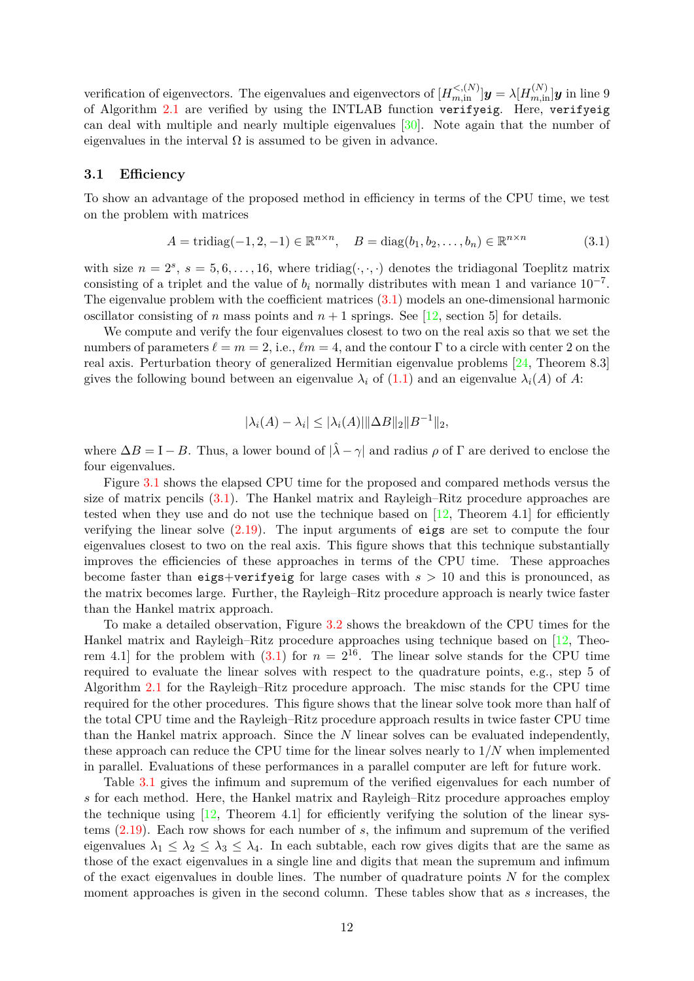verification of eigenvectors. The eigenvalues and eigenvectors of  $[H_{m,in}^{<(N)}]$   $y = \lambda [H_{m,in}^{(N)}]$  *y* in line 9 of Algorithm [2.1](#page-10-1) are verified by using the INTLAB function verifyeig. Here, verifyeig can deal with multiple and nearly multiple eigenvalues [\[30\]](#page-21-7). Note again that the number of eigenvalues in the interval  $\Omega$  is assumed to be given in advance.

### **3.1 Efficiency**

To show an advantage of the proposed method in efficiency in terms of the CPU time, we test on the problem with matrices

$$
A = \text{tridiag}(-1, 2, -1) \in \mathbb{R}^{n \times n}, \quad B = \text{diag}(b_1, b_2, \dots, b_n) \in \mathbb{R}^{n \times n}
$$
(3.1)

with size  $n = 2^s$ ,  $s = 5, 6, \ldots, 16$ , where tridiag( $\cdot, \cdot, \cdot$ ) denotes the tridiagonal Toeplitz matrix consisting of a triplet and the value of  $b_i$  normally distributes with mean 1 and variance  $10^{-7}$ . The eigenvalue problem with the coefficient matrices  $(3.1)$  models an one-dimensional harmonic oscillator consisting of *n* mass points and  $n + 1$  springs. See [\[12,](#page-19-9) section 5] for details.

We compute and verify the four eigenvalues closest to two on the real axis so that we set the numbers of parameters  $\ell = m = 2$ , i.e.,  $\ell m = 4$ , and the contour Γ to a circle with center 2 on the real axis. Perturbation theory of generalized Hermitian eigenvalue problems [\[24,](#page-20-12) Theorem 8.3] gives the following bound between an eigenvalue  $\lambda_i$  of [\(1.1\)](#page-0-0) and an eigenvalue  $\lambda_i(A)$  of A:

<span id="page-11-0"></span>
$$
|\lambda_i(A) - \lambda_i| \le |\lambda_i(A)| \|\Delta B\|_2 \|B^{-1}\|_2,
$$

where  $\Delta B = I - B$ . Thus, a lower bound of  $|\hat{\lambda} - \gamma|$  and radius  $\rho$  of  $\Gamma$  are derived to enclose the four eigenvalues.

Figure [3.1](#page-12-0) shows the elapsed CPU time for the proposed and compared methods versus the size of matrix pencils [\(3.1\)](#page-11-0). The Hankel matrix and Rayleigh–Ritz procedure approaches are tested when they use and do not use the technique based on  $[12,$  Theorem 4.1 for efficiently verifying the linear solve [\(2.19\)](#page-9-2). The input arguments of eigs are set to compute the four eigenvalues closest to two on the real axis. This figure shows that this technique substantially improves the efficiencies of these approaches in terms of the CPU time. These approaches become faster than eigs+verifyeig for large cases with *s >* 10 and this is pronounced, as the matrix becomes large. Further, the Rayleigh–Ritz procedure approach is nearly twice faster than the Hankel matrix approach.

To make a detailed observation, Figure [3.2](#page-12-0) shows the breakdown of the CPU times for the Hankel matrix and Rayleigh–Ritz procedure approaches using technique based on [\[12,](#page-19-9) Theorem 4.1 for the problem with  $(3.1)$  for  $n = 2^{16}$ . The linear solve stands for the CPU time required to evaluate the linear solves with respect to the quadrature points, e.g., step 5 of Algorithm [2.1](#page-10-1) for the Rayleigh–Ritz procedure approach. The misc stands for the CPU time required for the other procedures. This figure shows that the linear solve took more than half of the total CPU time and the Rayleigh–Ritz procedure approach results in twice faster CPU time than the Hankel matrix approach. Since the *N* linear solves can be evaluated independently, these approach can reduce the CPU time for the linear solves nearly to 1*/N* when implemented in parallel. Evaluations of these performances in a parallel computer are left for future work.

Table [3.1](#page-13-0) gives the infimum and supremum of the verified eigenvalues for each number of *s* for each method. Here, the Hankel matrix and Rayleigh–Ritz procedure approaches employ the technique using  $[12,$  Theorem 4.1 for efficiently verifying the solution of the linear systems [\(2.19\)](#page-9-2). Each row shows for each number of *s*, the infimum and supremum of the verified eigenvalues  $\lambda_1 \leq \lambda_2 \leq \lambda_3 \leq \lambda_4$ . In each subtable, each row gives digits that are the same as those of the exact eigenvalues in a single line and digits that mean the supremum and infimum of the exact eigenvalues in double lines. The number of quadrature points *N* for the complex moment approaches is given in the second column. These tables show that as *s* increases, the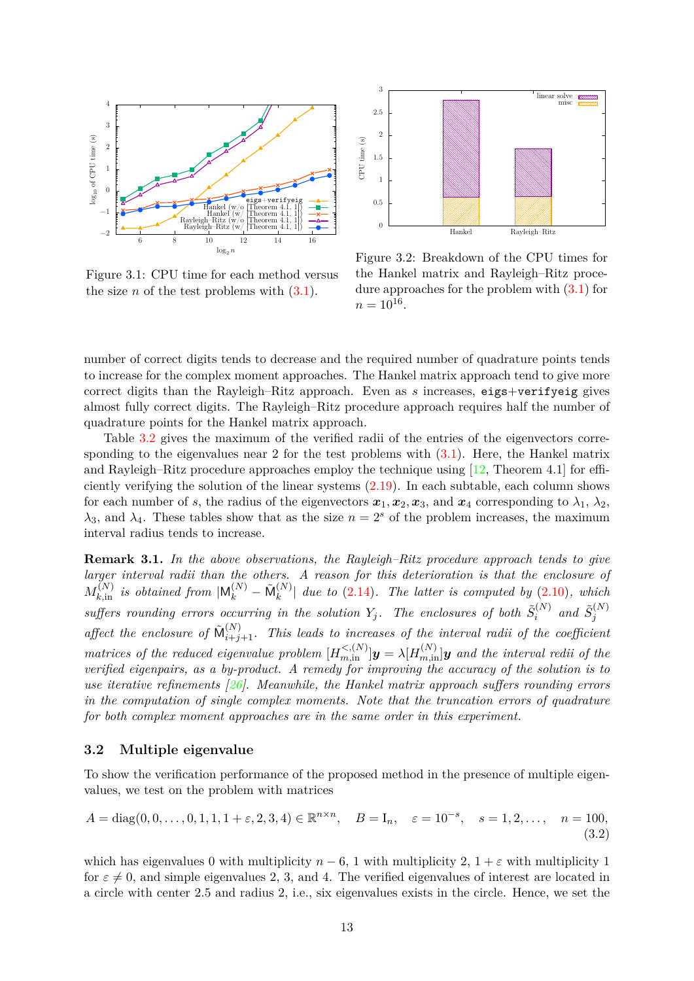<span id="page-12-0"></span>

Figure 3.1: CPU time for each method versus the size *n* of the test problems with  $(3.1)$ .



Figure 3.2: Breakdown of the CPU times for the Hankel matrix and Rayleigh–Ritz procedure approaches for the problem with  $(3.1)$  for  $n = 10^{16}$ .

number of correct digits tends to decrease and the required number of quadrature points tends to increase for the complex moment approaches. The Hankel matrix approach tend to give more correct digits than the Rayleigh–Ritz approach. Even as *s* increases, eigs+verifyeig gives almost fully correct digits. The Rayleigh–Ritz procedure approach requires half the number of quadrature points for the Hankel matrix approach.

Table [3.2](#page-14-0) gives the maximum of the verified radii of the entries of the eigenvectors corresponding to the eigenvalues near 2 for the test problems with  $(3.1)$ . Here, the Hankel matrix and Rayleigh–Ritz procedure approaches employ the technique using  $[12,$  Theorem 4.1 for efficiently verifying the solution of the linear systems [\(2.19\)](#page-9-2). In each subtable, each column shows for each number of *s*, the radius of the eigenvectors  $x_1, x_2, x_3$ , and  $x_4$  corresponding to  $\lambda_1, \lambda_2$ ,  $\lambda_3$ , and  $\lambda_4$ . These tables show that as the size  $n = 2^s$  of the problem increases, the maximum interval radius tends to increase.

**Remark 3.1.** *In the above observations, the Rayleigh–Ritz procedure approach tends to give larger interval radii than the others. A reason for this deterioration is that the enclosure of*  $M_{k,\text{in}}^{(N)}$  *is obtained from*  $|M_k^{(N)} - \tilde{M}_k^{(N)}|$  $\binom{N}{k}$  due to [\(2.14\)](#page-6-3). The latter is computed by [\(2.10\)](#page-5-3), which *suffers rounding errors occurring in the solution*  $Y_j$ . The enclosures of both  $\tilde{S}_i^{(N)}$  $\tilde{S}^{(N)}_i$  and  $\tilde{S}^{(N)}_j$ *j* affect the enclosure of  $\tilde{M}_{i+j+1}^{(N)}$ . This leads to increases of the interval radii of the coefficient *matrices of the reduced eigenvalue problem*  $[H_{m,in}^{<(N)}]$ *y* =  $\lambda[H_{m,in}^{(N)}]$ *y and the interval redii of the verified eigenpairs, as a by-product. A remedy for improving the accuracy of the solution is to use iterative refinements [\[26\]](#page-20-13). Meanwhile, the Hankel matrix approach suffers rounding errors in the computation of single complex moments. Note that the truncation errors of quadrature for both complex moment approaches are in the same order in this experiment.*

### **3.2 Multiple eigenvalue**

To show the verification performance of the proposed method in the presence of multiple eigenvalues, we test on the problem with matrices

<span id="page-12-1"></span>
$$
A = diag(0, 0, \dots, 0, 1, 1, 1 + \varepsilon, 2, 3, 4) \in \mathbb{R}^{n \times n}, \quad B = I_n, \quad \varepsilon = 10^{-s}, \quad s = 1, 2, \dots, \quad n = 100,
$$
\n(3.2)

which has eigenvalues 0 with multiplicity  $n-6$ , 1 with multiplicity 2,  $1+\varepsilon$  with multiplicity 1 for  $\varepsilon \neq 0$ , and simple eigenvalues 2, 3, and 4. The verified eigenvalues of interest are located in a circle with center 2*.*5 and radius 2, i.e., six eigenvalues exists in the circle. Hence, we set the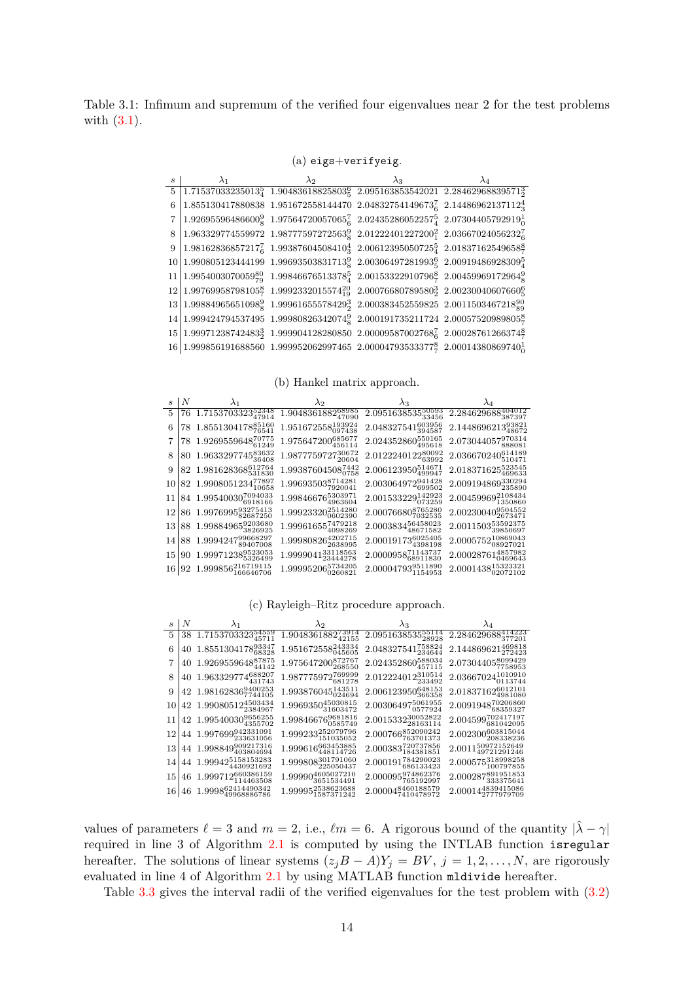<span id="page-13-0"></span>Table 3.1: Infimum and supremum of the verified four eigenvalues near 2 for the test problems with [\(3.1\)](#page-11-0).

(a) eigs+verifyeig.

| $\mathcal{S}_{\mathcal{S}}$ | $\lambda_1$                                                                                                           | $\lambda$ 2 |  |  |
|-----------------------------|-----------------------------------------------------------------------------------------------------------------------|-------------|--|--|
|                             | $5 1.71537033235013_4^5 1.90483618825803_5^6 2.095163853542021 2.28462968839571_3^3$                                  |             |  |  |
| 6                           | $1.855130417880838$ 1.951672558144470 2.04832754149673 $_6^7$ 2.14486962137112 $_3^4$                                 |             |  |  |
|                             | 7   1.92695596486600 $^{9}_{8}$ 1.97564720057065 $^{7}_{6}$ 2.02435286052257 $^{5}_{4}$ 2.07304405792919 $^{1}_{0}$   |             |  |  |
|                             | 8 1.963329774559972 1.98777597272563 $^{9}_{8}$ 2.01222401227200 $^{2}_{1}$ 2.03667024056232 $^{7}_{6}$               |             |  |  |
|                             | 9   1.981628368572177 1.993876045084104 2.006123950507254 2.01837162549658 $\frac{8}{7}$                              |             |  |  |
|                             | $10 1.990805123444199\ \ 1.99693503831713_8^9\ \ 2.00306497281993_5^6\ \ 2.00919486928309_4^5$                        |             |  |  |
|                             | $11 1.9954003070059_{79}^{80}$ 1.99846676513378 $_4^5$ 2.00153322910796 $_7^8$ 2.00459969172964 $_8^9$                |             |  |  |
|                             | $12 1.99769958798105\frac{8}{7}$ 1.9992332015574 $^{20}_{19}$ 2.00076680789580 $^{3}_{2}$ 2.00230040607660 $^{6}_{5}$ |             |  |  |
|                             | $13 1.99884965651098_8^9$ 1.999616555784293 2.000383452559825 2.0011503467218 $_{89}^{90}$                            |             |  |  |
|                             | $14 1.999424794537495\ \ 1.99980826342074_8^9\ \ 2.000191735211724\ \ 2.00057520989805_7^8$                           |             |  |  |
|                             | $15 1.99971238742483_2^3$ 1.999904128280850 2.00009587002768 <sup>7</sup> <sub>6</sub> 2.00028761266374 <sup>8</sup>  |             |  |  |
|                             | 16 1.999856191688560 1.999952062997465 2.00004793533377 $\frac{8}{7}$ 2.00014380869740 $\frac{1}{0}$                  |             |  |  |

(b) Hankel matrix approach.

| $\mathcal{S}$ | $\perp N$ | $\lambda_1$                                | $\lambda_2$                        | $\lambda_3$                       |                                           |
|---------------|-----------|--------------------------------------------|------------------------------------|-----------------------------------|-------------------------------------------|
| 5             |           | 76 1.7153703323 <sup>52348</sup>           | 1.9048361882 $\frac{68985}{47090}$ | 2.095163853550593                 | 2.284629688404012                         |
| 6             |           | 78 1.8551304178 $^{85160}_{76541}$         | $1.951672558_{097438}^{193924}$    | 2.048327541603956                 | 2.144869621393821                         |
|               |           | $78\ \ 1.9269559648^{70775}_{61249}$       | $1.975647200_{456114}^{685677}$    | $2.024352860_{495618}^{550165}$   | 2.073044057970314                         |
| 8             |           | 80 1.963329774583632                       | 1.987775972730672                  | 2.012224012280092                 | $2.036670240\substack{614189\\510471}$    |
| 9             |           | $82\ \ 1.981628368^{612764}_{531830}$      | $1.99387604508_{0758}^{7442}$      | $2.006123950_{499947}^{514671}$   | $2.018371625_{460622}^{523545}$<br>469633 |
|               |           | 10 82 1.990805123477897                    | 1.99693503 <sup>8714281</sup>      | 2.003064972941428                 | 2.009194869330294                         |
|               |           | $11 84 1.99540030_{6918166}^{7094033}$     | 1.998466765303971                  | $2.001533229_{073259}^{142923}$   | $2.00459969_{1350860}^{2108434}$          |
|               |           | $12 86\ \ 1.9976995_{82687250}^{93275413}$ | 1.99923320 $^{2514280}_{0602390}$  | 2.000766808765280                 | $2.00230040_{2673471}^{9504552}$          |
|               |           | 13 88 1.99884965 $\frac{9203680}{3826925}$ | 1.999616557479218                  | 2.000383456458023                 | 2.001150353592375                         |
| 14            |           | 88 1.999424799668297                       | $1.99980826_{2638995}^{4202715}$   | 2.000191736025405                 | $2.0005752_{08927021}^{10869043}$         |
|               |           | 15 90 1.99971238 $^{9523053}_{5326499}$    | $1.9999041_{23444278}^{33118563}$  | $2.0000958^{71143737}_{68911830}$ | 4857982<br>2.00028761<br>0469643          |
|               |           | 16 92 1.999856216719115                    | 1.999952065734205                  | 2.000047939511890                 | $2.0001438_{02072102}^{15323321}$         |

(c) Rayleigh–Ritz procedure approach.

|                 | $s \mid N$ | $\lambda_1$                                        | $\lambda_2$                        | $\lambda_3$                             | $\lambda_4$                          |
|-----------------|------------|----------------------------------------------------|------------------------------------|-----------------------------------------|--------------------------------------|
| 5               |            | 38 1.7153703323 $\frac{54559}{45711}$              | $1.9048361882_{42155}^{73914}$     | 2.095163853555114                       | 2.284629688414223                    |
| 6               |            | 40 1.8551304178 $^{93347}_{68328}$                 | 1.951672558243334                  | 2.048327541758824                       | 2.144869621469818                    |
| 7               |            | 40 1.926955964887875                               | 1.975647200 $^{872767}_{268550}$   | 2.024352860 $\substack{588034\\457115}$ | 2.073044058099429                    |
| 8               |            | 40 1.963329774688207                               | 1.987775972769999                  | 2.012224012310514                       | $2.03667024_{0113744}^{1010910}$     |
| 9               |            | 42 1.981628369400253                               | $1.993876045_{024694}^{143511}$    | $2.006123950_{366358}^{648153}$         | $2.01837162_{4981080}^{6012101}$     |
| 10 <sup>1</sup> |            | 42 1.990805124503434                               | $1.9969350_{31603472}^{45030815}$  | 2.003064975061955                       | 2.009194870206860                    |
|                 |            | 11 42 1.99540030 $^{9656255}_{4355702}$            | 1.99846676 $^{9681816}_{0585749}$  | $2.0015332_{28163114}^{30052822}$       | 2.004599702417197                    |
|                 |            | 12 44 1.997699942331091                            | $1.999233_{151035052}^{252079796}$ | 2.000766852090242                       | $2.002300_{208338236}^{603815044}$   |
|                 |            | 13 44 1.998849909217316                            | 1.999616663453885<br>448114726     | $2.000383_{184381851}^{720737856}$      | $2.0011_{49721291246}^{50972152649}$ |
|                 |            | 14 44 1.99942 $5158153283$<br>4430921692           | 1.999808301791060                  | $2.000191_{686133423}^{784290023}$      | $2.000575_{100797855}^{318998258}$   |
| 15 <sub>l</sub> |            | 46 1.999712660386159                               | 1.999904605027210                  | 2.000095974862376                       | 2.000287891951853                    |
|                 |            | $16\, \,46\, \,1.9998^{62414490342}_{49968886786}$ | 1.999952538623688                  | 2.000048460188579                       | 2.000144839415086                    |

values of parameters  $\ell = 3$  and  $m = 2$ , i.e.,  $\ell m = 6$ . A rigorous bound of the quantity  $|\hat{\lambda} - \gamma|$ required in line 3 of Algorithm [2.1](#page-10-1) is computed by using the INTLAB function isregular hereafter. The solutions of linear systems  $(z_jB - A)Y_j = BV$ ,  $j = 1, 2, ..., N$ , are rigorously evaluated in line 4 of Algorithm [2.1](#page-10-1) by using MATLAB function mldivide hereafter.

Table [3.3](#page-15-0) gives the interval radii of the verified eigenvalues for the test problem with [\(3.2\)](#page-12-1)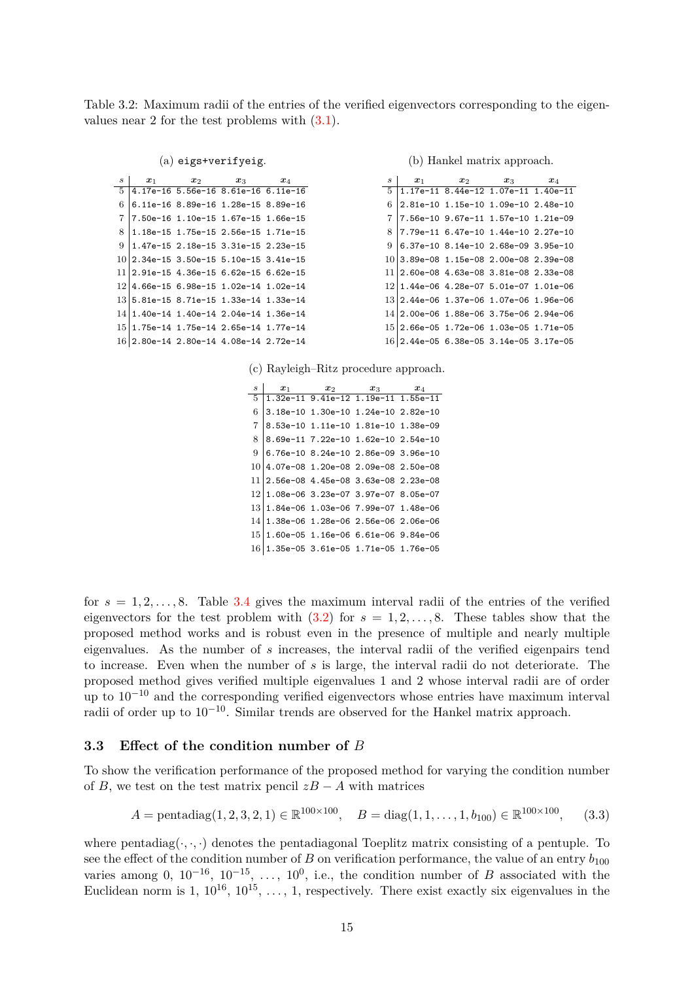<span id="page-14-0"></span>Table 3.2: Maximum radii of the entries of the verified eigenvectors corresponding to the eigenvalues near 2 for the test problems with [\(3.1\)](#page-11-0).

|  | $(a)$ eigs+verifyeig. |  |  |
|--|-----------------------|--|--|
|--|-----------------------|--|--|

| $\boldsymbol{s}$ | $x_1$                                    | $x_2$ | $x_3$                               | $x_4$ |
|------------------|------------------------------------------|-------|-------------------------------------|-------|
| -5               |                                          |       | 4.17e-16 5.56e-16 8.61e-16 6.11e-16 |       |
| 6                |                                          |       | 6.11e-16 8.89e-16 1.28e-15 8.89e-16 |       |
| 7                |                                          |       | 7.50e-16 1.10e-15 1.67e-15 1.66e-15 |       |
| 8                |                                          |       | 1.18e-15 1.75e-15 2.56e-15 1.71e-15 |       |
| 9                |                                          |       | 1.47e-15 2.18e-15 3.31e-15 2.23e-15 |       |
|                  | $10 2.34e-15$ 3.50e-15 5.10e-15 3.41e-15 |       |                                     |       |
|                  | $11 2.91e-15$ 4.36e-15 6.62e-15 6.62e-15 |       |                                     |       |
|                  | 12 4.66e-15 6.98e-15 1.02e-14 1.02e-14   |       |                                     |       |
|                  | $13 5.81e-15 8.71e-15 1.33e-14 1.33e-14$ |       |                                     |       |
|                  | 14 1.40e-14 1.40e-14 2.04e-14 1.36e-14   |       |                                     |       |
| 151              |                                          |       | 1.75e-14 1.75e-14 2.65e-14 1.77e-14 |       |
|                  | 16 2.80e-14 2.80e-14 4.08e-14 2.72e-14   |       |                                     |       |

(b) Hankel matrix approach.

| S  | $x_1$                                    | $\boldsymbol{x}_2$                  | $\boldsymbol{x}_3$ | $x_4$ |  |
|----|------------------------------------------|-------------------------------------|--------------------|-------|--|
| 5. |                                          | 1.17e-11 8.44e-12 1.07e-11 1.40e-11 |                    |       |  |
| 6  |                                          | 2.81e-10 1.15e-10 1.09e-10 2.48e-10 |                    |       |  |
| 7  |                                          | 7.56e-10 9.67e-11 1.57e-10 1.21e-09 |                    |       |  |
| 8  |                                          | 7.79e-11 6.47e-10 1.44e-10 2.27e-10 |                    |       |  |
| 9  |                                          | 6.37e-10 8.14e-10 2.68e-09 3.95e-10 |                    |       |  |
|    | 10 3.89e-08 1.15e-08 2.00e-08 2.39e-08   |                                     |                    |       |  |
|    | 11 2.60e-08 4.63e-08 3.81e-08 2.33e-08   |                                     |                    |       |  |
|    | 12 1.44e-06 4.28e-07 5.01e-07 1.01e-06   |                                     |                    |       |  |
|    | 13 2.44e-06 1.37e-06 1.07e-06 1.96e-06   |                                     |                    |       |  |
|    | 14 2.00e-06 1.88e-06 3.75e-06 2.94e-06   |                                     |                    |       |  |
|    | 15 2.66e-05 1.72e-06 1.03e-05 1.71e-05   |                                     |                    |       |  |
|    | $16 2.44e-05 6.38e-05 3.14e-05 3.17e-05$ |                                     |                    |       |  |

(c) Rayleigh–Ritz procedure approach.

 $s$  |  $x_1$   $x_2$   $x_3$   $x_4$  1.32e-11 9.41e-12 1.19e-11 1.55e-11 3.18e-10 1.30e-10 1.24e-10 2.82e-10 8.53e-10 1.11e-10 1.81e-10 1.38e-09 8.69e-11 7.22e-10 1.62e-10 2.54e-10  $9|6.76e-108.24e-102.86e-093.96e-10$  4.07e-08 1.20e-08 2.09e-08 2.50e-08 2.56e-08 4.45e-08 3.63e-08 2.23e-08 1.08e-06 3.23e-07 3.97e-07 8.05e-07 1.84e-06 1.03e-06 7.99e-07 1.48e-06 1.38e-06 1.28e-06 2.56e-06 2.06e-06 1.60e-05 1.16e-06 6.61e-06 9.84e-06 1.35e-05 3.61e-05 1.71e-05 1.76e-05

for  $s = 1, 2, \ldots, 8$ . Table [3.4](#page-15-0) gives the maximum interval radii of the entries of the verified eigenvectors for the test problem with  $(3.2)$  for  $s = 1, 2, \ldots, 8$ . These tables show that the proposed method works and is robust even in the presence of multiple and nearly multiple eigenvalues. As the number of *s* increases, the interval radii of the verified eigenpairs tend to increase. Even when the number of *s* is large, the interval radii do not deteriorate. The proposed method gives verified multiple eigenvalues 1 and 2 whose interval radii are of order up to 10−<sup>10</sup> and the corresponding verified eigenvectors whose entries have maximum interval radii of order up to  $10^{-10}$ . Similar trends are observed for the Hankel matrix approach.

### **3.3 Effect of the condition number of** *B*

To show the verification performance of the proposed method for varying the condition number of *B*, we test on the test matrix pencil  $zB - A$  with matrices

<span id="page-14-1"></span>
$$
A = \text{pentadiag}(1, 2, 3, 2, 1) \in \mathbb{R}^{100 \times 100}, \quad B = \text{diag}(1, 1, \dots, 1, b_{100}) \in \mathbb{R}^{100 \times 100}, \quad (3.3)
$$

where pentadiag( $\cdot, \cdot$ ) denotes the pentadiagonal Toeplitz matrix consisting of a pentuple. To see the effect of the condition number of *B* on verification performance, the value of an entry  $b_{100}$ varies among 0,  $10^{-16}$ ,  $10^{-15}$ , ...,  $10^{0}$ , i.e., the condition number of *B* associated with the Euclidean norm is 1,  $10^{16}$ ,  $10^{15}$ , ..., 1, respectively. There exist exactly six eigenvalues in the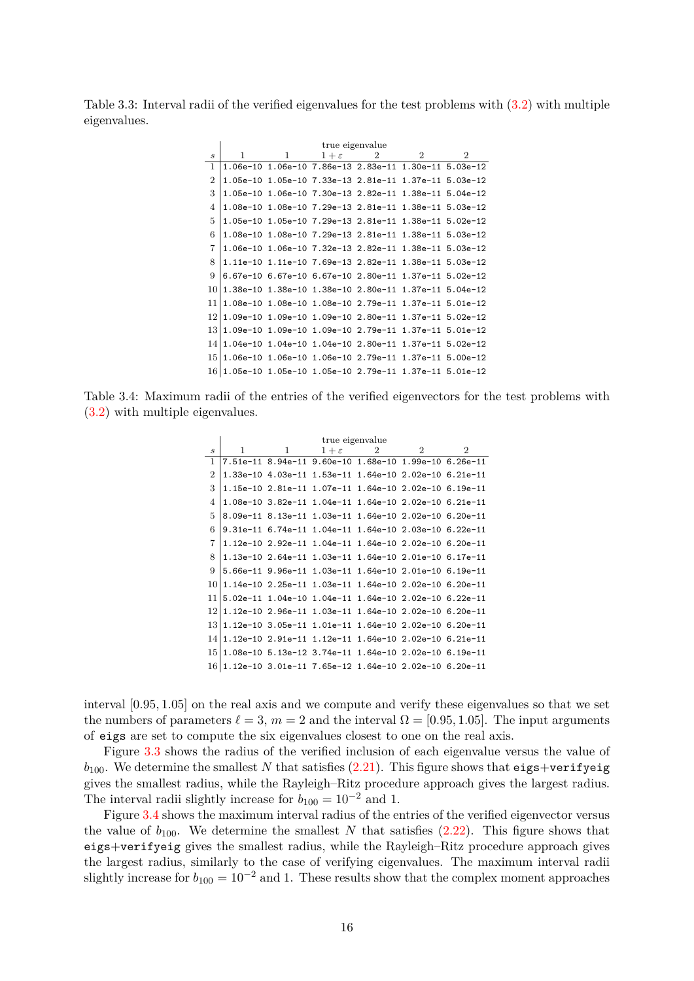<span id="page-15-0"></span>Table 3.3: Interval radii of the verified eigenvalues for the test problems with [\(3.2\)](#page-12-1) with multiple eigenvalues.

|                             | true eigenvalue                                         |   |                 |                                                       |               |                             |  |  |  |  |
|-----------------------------|---------------------------------------------------------|---|-----------------|-------------------------------------------------------|---------------|-----------------------------|--|--|--|--|
| $\mathcal{S}_{\mathcal{S}}$ | 1                                                       | 1 | $1+\varepsilon$ | $\mathcal{D}_{\mathcal{L}}$                           | $\mathcal{D}$ | $\mathcal{D}_{\mathcal{L}}$ |  |  |  |  |
| $\mathbf{1}$                |                                                         |   |                 | 1.06e-10 1.06e-10 7.86e-13 2.83e-11 1.30e-11 5.03e-12 |               |                             |  |  |  |  |
| $\overline{2}$              |                                                         |   |                 | 1.05e-10 1.05e-10 7.33e-13 2.81e-11 1.37e-11 5.03e-12 |               |                             |  |  |  |  |
| 3                           |                                                         |   |                 | 1.05e-10 1.06e-10 7.30e-13 2.82e-11 1.38e-11 5.04e-12 |               |                             |  |  |  |  |
| $\overline{4}$              |                                                         |   |                 | 1.08e-10 1.08e-10 7.29e-13 2.81e-11 1.38e-11 5.03e-12 |               |                             |  |  |  |  |
| 5                           |                                                         |   |                 | 1.05e-10 1.05e-10 7.29e-13 2.81e-11 1.38e-11 5.02e-12 |               |                             |  |  |  |  |
| 6                           |                                                         |   |                 | 1.08e-10 1.08e-10 7.29e-13 2.81e-11 1.38e-11 5.03e-12 |               |                             |  |  |  |  |
| 7                           |                                                         |   |                 | 1.06e-10 1.06e-10 7.32e-13 2.82e-11 1.38e-11 5.03e-12 |               |                             |  |  |  |  |
| 8                           |                                                         |   |                 | 1.11e-10 1.11e-10 7.69e-13 2.82e-11 1.38e-11 5.03e-12 |               |                             |  |  |  |  |
| 9                           |                                                         |   |                 | 6.67e-10 6.67e-10 6.67e-10 2.80e-11 1.37e-11 5.02e-12 |               |                             |  |  |  |  |
| 10                          |                                                         |   |                 | 1.38e-10 1.38e-10 1.38e-10 2.80e-11 1.37e-11 5.04e-12 |               |                             |  |  |  |  |
| 11                          |                                                         |   |                 | 1.08e-10 1.08e-10 1.08e-10 2.79e-11 1.37e-11 5.01e-12 |               |                             |  |  |  |  |
| 12                          |                                                         |   |                 | 1.09e-10 1.09e-10 1.09e-10 2.80e-11 1.37e-11 5.02e-12 |               |                             |  |  |  |  |
| 13                          |                                                         |   |                 | 1.09e-10 1.09e-10 1.09e-10 2.79e-11 1.37e-11 5.01e-12 |               |                             |  |  |  |  |
| 14                          |                                                         |   |                 | 1.04e-10 1.04e-10 1.04e-10 2.80e-11 1.37e-11 5.02e-12 |               |                             |  |  |  |  |
| 15                          |                                                         |   |                 | 1.06e-10 1.06e-10 1.06e-10 2.79e-11 1.37e-11 5.00e-12 |               |                             |  |  |  |  |
| 16                          | $1.05e-10$ 1.05e-10 1.05e-10 2.79e-11 1.37e-11 5.01e-12 |   |                 |                                                       |               |                             |  |  |  |  |

Table 3.4: Maximum radii of the entries of the verified eigenvectors for the test problems with [\(3.2\)](#page-12-1) with multiple eigenvalues.

|                             |   |   |                 | true eigenvalue |                                                             |                |
|-----------------------------|---|---|-----------------|-----------------|-------------------------------------------------------------|----------------|
| $\mathcal{S}_{\mathcal{S}}$ | 1 | 1 | $1+\varepsilon$ | $\overline{2}$  | $\overline{2}$                                              | $\overline{2}$ |
| 1                           |   |   |                 |                 | 7.51e-11 8.94e-11 9.60e-10 1.68e-10 1.99e-10 6.26e-11       |                |
| $\overline{2}$              |   |   |                 |                 | 1.33e-10 4.03e-11 1.53e-11 1.64e-10 2.02e-10 6.21e-11       |                |
| 3                           |   |   |                 |                 | 1.15e-10 2.81e-11 1.07e-11 1.64e-10 2.02e-10 6.19e-11       |                |
| 4                           |   |   |                 |                 | 1.08e-10 3.82e-11 1.04e-11 1.64e-10 2.02e-10 6.21e-11       |                |
| 5                           |   |   |                 |                 | 8.09e-11 8.13e-11 1.03e-11 1.64e-10 2.02e-10 6.20e-11       |                |
| 6                           |   |   |                 |                 | 9.31e-11 6.74e-11 1.04e-11 1.64e-10 2.03e-10 6.22e-11       |                |
| 7                           |   |   |                 |                 | 1.12e-10 2.92e-11 1.04e-11 1.64e-10 2.02e-10 6.20e-11       |                |
| 8                           |   |   |                 |                 |                                                             |                |
| 9                           |   |   |                 |                 | 5.66e-11 9.96e-11 1.03e-11 1.64e-10 2.01e-10 6.19e-11       |                |
| 10                          |   |   |                 |                 |                                                             |                |
| 11                          |   |   |                 |                 | 5.02e-11 1.04e-10 1.04e-11 1.64e-10 2.02e-10 6.22e-11       |                |
| 12                          |   |   |                 |                 | 1.12e-10 2.96e-11 1.03e-11 1.64e-10 2.02e-10 6.20e-11       |                |
| 13                          |   |   |                 |                 | 1.12e-10 3.05e-11 1.01e-11 1.64e-10 2.02e-10 6.20e-11       |                |
| 14                          |   |   |                 |                 |                                                             |                |
| 15                          |   |   |                 |                 | 1.08e-10 5.13e-12 3.74e-11 1.64e-10 2.02e-10 6.19e-11       |                |
|                             |   |   |                 |                 | $16 1.12$ e-10 3.01e-11 7.65e-12 1.64e-10 2.02e-10 6.20e-11 |                |

interval [0*.*95*,* 1*.*05] on the real axis and we compute and verify these eigenvalues so that we set the numbers of parameters  $\ell = 3$ ,  $m = 2$  and the interval  $\Omega = [0.95, 1.05]$ . The input arguments of eigs are set to compute the six eigenvalues closest to one on the real axis.

Figure [3.3](#page-16-0) shows the radius of the verified inclusion of each eigenvalue versus the value of  $b_{100}$ . We determine the smallest N that satisfies [\(2.21\)](#page-9-0). This figure shows that eigs+verifyeig gives the smallest radius, while the Rayleigh–Ritz procedure approach gives the largest radius. The interval radii slightly increase for  $b_{100} = 10^{-2}$  and 1.

Figure [3.4](#page-16-0) shows the maximum interval radius of the entries of the verified eigenvector versus the value of  $b_{100}$ . We determine the smallest *N* that satisfies  $(2.22)$ . This figure shows that eigs+verifyeig gives the smallest radius, while the Rayleigh–Ritz procedure approach gives the largest radius, similarly to the case of verifying eigenvalues. The maximum interval radii slightly increase for  $b_{100} = 10^{-2}$  and 1. These results show that the complex moment approaches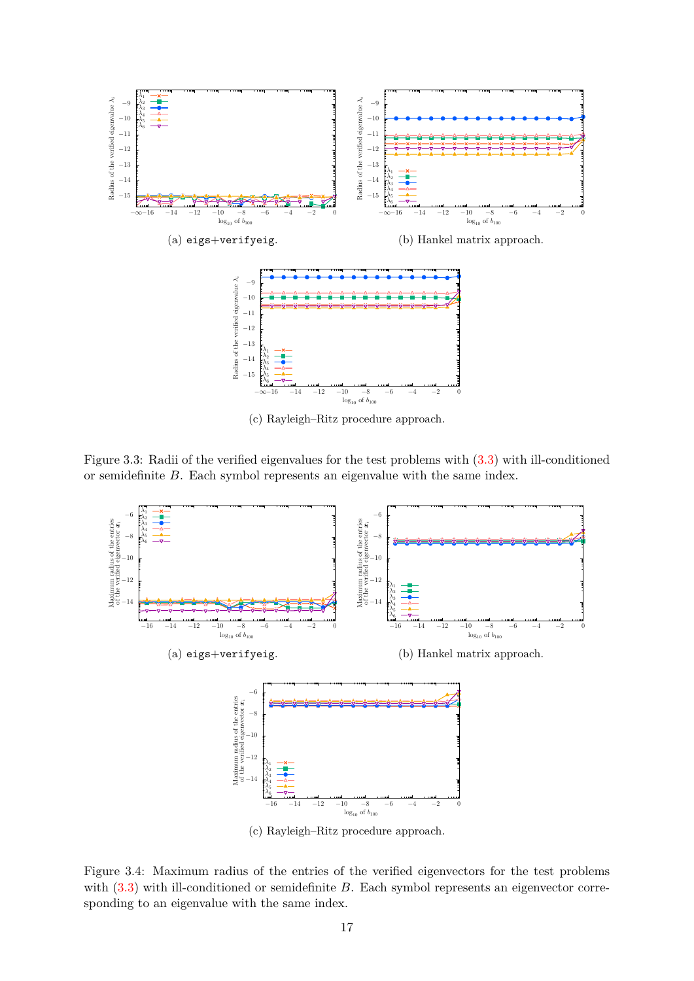<span id="page-16-0"></span>

(c) Rayleigh–Ritz procedure approach.

Figure 3.3: Radii of the verified eigenvalues for the test problems with [\(3.3\)](#page-14-1) with ill-conditioned or semidefinite *B*. Each symbol represents an eigenvalue with the same index.



(c) Rayleigh–Ritz procedure approach.

Figure 3.4: Maximum radius of the entries of the verified eigenvectors for the test problems with  $(3.3)$  with ill-conditioned or semidefinite *B*. Each symbol represents an eigenvector corresponding to an eigenvalue with the same index.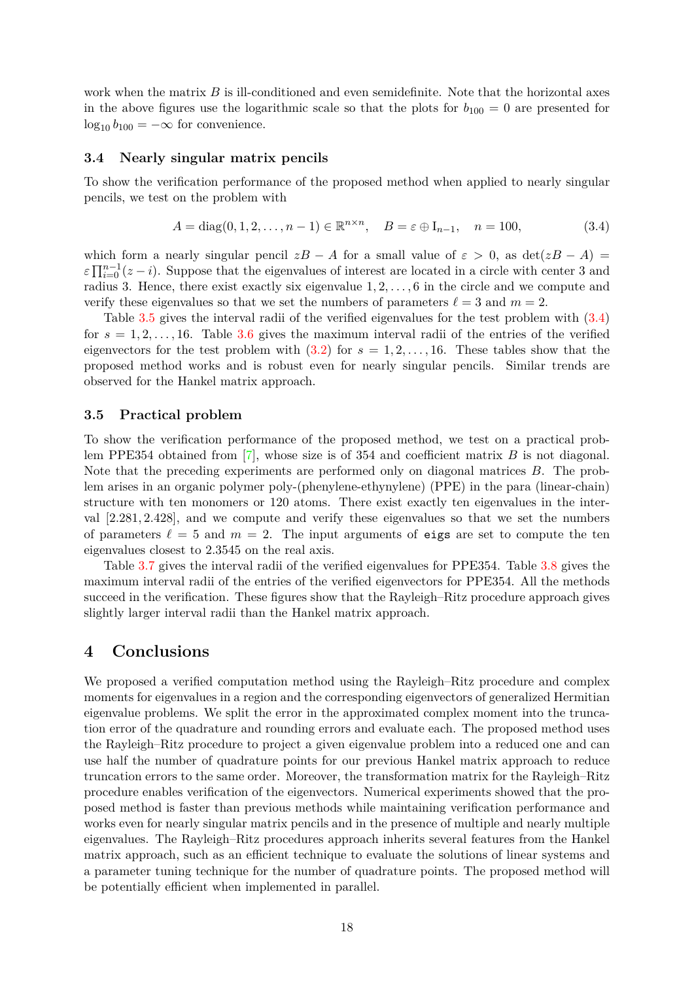work when the matrix *B* is ill-conditioned and even semidefinite. Note that the horizontal axes in the above figures use the logarithmic scale so that the plots for  $b_{100} = 0$  are presented for  $\log_{10} b_{100} = -\infty$  for convenience.

### **3.4 Nearly singular matrix pencils**

To show the verification performance of the proposed method when applied to nearly singular pencils, we test on the problem with

<span id="page-17-1"></span>
$$
A = diag(0, 1, 2, \dots, n - 1) \in \mathbb{R}^{n \times n}, \quad B = \varepsilon \oplus I_{n-1}, \quad n = 100,
$$
 (3.4)

which form a nearly singular pencil  $zB - A$  for a small value of  $\varepsilon > 0$ , as  $\det(zB - A) =$  $\varepsilon \prod_{i=0}^{n-1} (z-i)$ . Suppose that the eigenvalues of interest are located in a circle with center 3 and radius 3. Hence, there exist exactly six eigenvalue 1*,* 2*, . . . ,* 6 in the circle and we compute and verify these eigenvalues so that we set the numbers of parameters  $\ell = 3$  and  $m = 2$ .

Table [3.5](#page-18-0) gives the interval radii of the verified eigenvalues for the test problem with [\(3.4\)](#page-17-1) for  $s = 1, 2, \ldots, 16$ . Table [3.6](#page-18-0) gives the maximum interval radii of the entries of the verified eigenvectors for the test problem with  $(3.2)$  for  $s = 1, 2, \ldots, 16$ . These tables show that the proposed method works and is robust even for nearly singular pencils. Similar trends are observed for the Hankel matrix approach.

### **3.5 Practical problem**

To show the verification performance of the proposed method, we test on a practical problem PPE354 obtained from [\[7\]](#page-19-14), whose size is of 354 and coefficient matrix *B* is not diagonal. Note that the preceding experiments are performed only on diagonal matrices *B*. The problem arises in an organic polymer poly-(phenylene-ethynylene) (PPE) in the para (linear-chain) structure with ten monomers or 120 atoms. There exist exactly ten eigenvalues in the interval [2*.*281*,* 2*.*428], and we compute and verify these eigenvalues so that we set the numbers of parameters  $\ell = 5$  and  $m = 2$ . The input arguments of eigs are set to compute the ten eigenvalues closest to 2*.*3545 on the real axis.

Table [3.7](#page-18-1) gives the interval radii of the verified eigenvalues for PPE354. Table [3.8](#page-18-1) gives the maximum interval radii of the entries of the verified eigenvectors for PPE354. All the methods succeed in the verification. These figures show that the Rayleigh–Ritz procedure approach gives slightly larger interval radii than the Hankel matrix approach.

### <span id="page-17-0"></span>**4 Conclusions**

We proposed a verified computation method using the Rayleigh–Ritz procedure and complex moments for eigenvalues in a region and the corresponding eigenvectors of generalized Hermitian eigenvalue problems. We split the error in the approximated complex moment into the truncation error of the quadrature and rounding errors and evaluate each. The proposed method uses the Rayleigh–Ritz procedure to project a given eigenvalue problem into a reduced one and can use half the number of quadrature points for our previous Hankel matrix approach to reduce truncation errors to the same order. Moreover, the transformation matrix for the Rayleigh–Ritz procedure enables verification of the eigenvectors. Numerical experiments showed that the proposed method is faster than previous methods while maintaining verification performance and works even for nearly singular matrix pencils and in the presence of multiple and nearly multiple eigenvalues. The Rayleigh–Ritz procedures approach inherits several features from the Hankel matrix approach, such as an efficient technique to evaluate the solutions of linear systems and a parameter tuning technique for the number of quadrature points. The proposed method will be potentially efficient when implemented in parallel.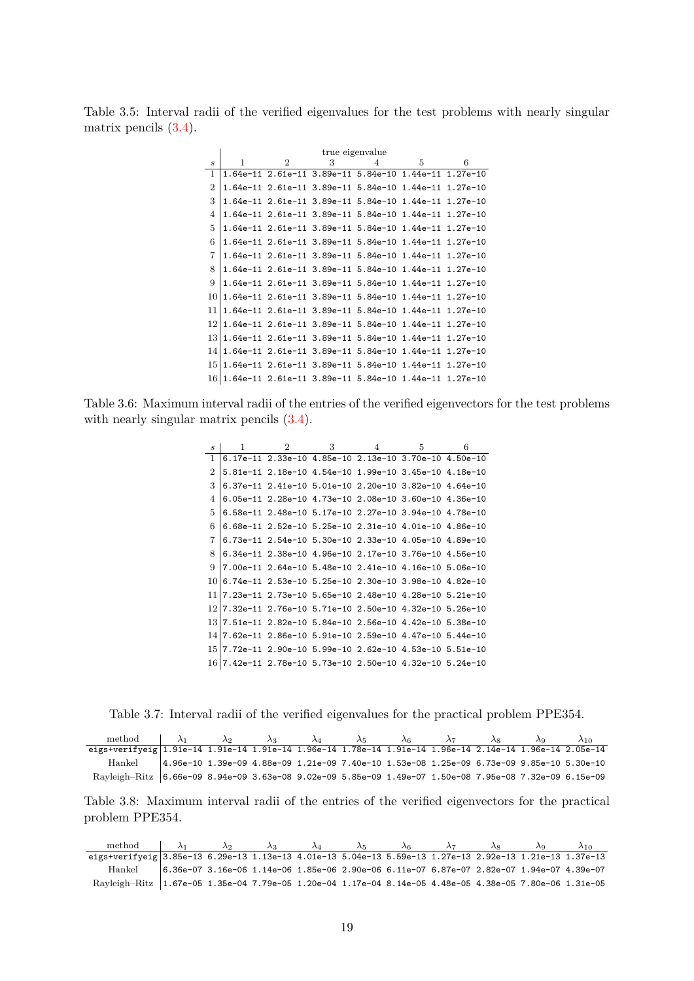<span id="page-18-0"></span>Table 3.5: Interval radii of the verified eigenvalues for the test problems with nearly singular matrix pencils [\(3.4\)](#page-17-1).

|                             |   |                |   | true eigenvalue                                            |   |   |
|-----------------------------|---|----------------|---|------------------------------------------------------------|---|---|
| $\mathcal{S}_{\mathcal{S}}$ | 1 | $\overline{2}$ | 3 | 4                                                          | 5 | 6 |
| 1                           |   |                |   | 1.64e-11 2.61e-11 3.89e-11 5.84e-10 1.44e-11 1.27e-10      |   |   |
| $\overline{2}$              |   |                |   | 1.64e-11 2.61e-11 3.89e-11 5.84e-10 1.44e-11 1.27e-10      |   |   |
| 3                           |   |                |   | 1.64e-11 2.61e-11 3.89e-11 5.84e-10 1.44e-11 1.27e-10      |   |   |
| 4                           |   |                |   | 1.64e-11 2.61e-11 3.89e-11 5.84e-10 1.44e-11 1.27e-10      |   |   |
| 5                           |   |                |   | 1.64e-11 2.61e-11 3.89e-11 5.84e-10 1.44e-11 1.27e-10      |   |   |
| 6                           |   |                |   | 1.64e-11  2.61e-11  3.89e-11  5.84e-10  1.44e-11  1.27e-10 |   |   |
| 7                           |   |                |   | 1.64e-11  2.61e-11  3.89e-11  5.84e-10  1.44e-11  1.27e-10 |   |   |
| 8                           |   |                |   |                                                            |   |   |
| 9                           |   |                |   |                                                            |   |   |
| 10                          |   |                |   | 1.64e-11  2.61e-11  3.89e-11  5.84e-10  1.44e-11  1.27e-10 |   |   |
| 11                          |   |                |   | 1.64e-11 2.61e-11 3.89e-11 5.84e-10 1.44e-11 1.27e-10      |   |   |
| 12                          |   |                |   | 1.64e-11 2.61e-11 3.89e-11 5.84e-10 1.44e-11 1.27e-10      |   |   |
| 13                          |   |                |   | 1.64e-11 2.61e-11 3.89e-11 5.84e-10 1.44e-11 1.27e-10      |   |   |
| 14                          |   |                |   | 1.64e-11 2.61e-11 3.89e-11 5.84e-10 1.44e-11 1.27e-10      |   |   |
| 15                          |   |                |   | 1.64e-11 2.61e-11 3.89e-11 5.84e-10 1.44e-11 1.27e-10      |   |   |
|                             |   |                |   | $16 1.64e-11$ 2.61e-11 3.89e-11 5.84e-10 1.44e-11 1.27e-10 |   |   |

Table 3.6: Maximum interval radii of the entries of the verified eigenvectors for the test problems with nearly singular matrix pencils  $(3.4)$ .

| $\mathcal{S}_{\mathcal{S}}$ | 1 | $2^{\circ}$                                                 | 3 | 4 | 5. | 6 |
|-----------------------------|---|-------------------------------------------------------------|---|---|----|---|
| 1                           |   | 6.17e-11 2.33e-10 4.85e-10 2.13e-10 3.70e-10 4.50e-10       |   |   |    |   |
| 2                           |   | 5.81e-11  2.18e-10  4.54e-10  1.99e-10  3.45e-10  4.18e-10  |   |   |    |   |
| 3                           |   | 6.37e-11 2.41e-10 5.01e-10 2.20e-10 3.82e-10 4.64e-10       |   |   |    |   |
| 4                           |   |                                                             |   |   |    |   |
| 5                           |   |                                                             |   |   |    |   |
| 6                           |   | 6.68e-11 2.52e-10 5.25e-10 2.31e-10 4.01e-10 4.86e-10       |   |   |    |   |
| 7                           |   | 6.73e-11  2.54e-10  5.30e-10  2.33e-10  4.05e-10  4.89e-10  |   |   |    |   |
| 8                           |   | 6.34e-11 2.38e-10 4.96e-10 2.17e-10 3.76e-10 4.56e-10       |   |   |    |   |
| 9                           |   |                                                             |   |   |    |   |
| 10                          |   | 6.74e-11 2.53e-10 5.25e-10 2.30e-10 3.98e-10 4.82e-10       |   |   |    |   |
| 11                          |   |                                                             |   |   |    |   |
| 12                          |   |                                                             |   |   |    |   |
| 13                          |   |                                                             |   |   |    |   |
| 14                          |   | 7.62e-11 2.86e-10 5.91e-10 2.59e-10 4.47e-10 5.44e-10       |   |   |    |   |
| 15                          |   |                                                             |   |   |    |   |
|                             |   | $16 7.42$ e-11 2.78e-10 5.73e-10 2.50e-10 4.32e-10 5.24e-10 |   |   |    |   |

<span id="page-18-1"></span>Table 3.7: Interval radii of the verified eigenvalues for the practical problem PPE354.

| method $\lambda_1$                                                                                       | $\lambda_2$ | $\lambda_3$ $\lambda_4$ | $\lambda_5$ | $\lambda$ <sub>6</sub> | $\lambda_7$ | $\lambda_8$                                                                                                     | $\lambda$ <sup>o</sup> | $\lambda_{10}$ |
|----------------------------------------------------------------------------------------------------------|-------------|-------------------------|-------------|------------------------|-------------|-----------------------------------------------------------------------------------------------------------------|------------------------|----------------|
| eigs+verifyeig 1.91e-14 1.91e-14 1.91e-14 1.96e-14 1.78e-14 1.91e-14 1.96e-14 2.14e-14 1.96e-14 2.05e-14 |             |                         |             |                        |             |                                                                                                                 |                        |                |
| Hankel                                                                                                   |             |                         |             |                        |             | $(4.96e-10)$ $1.39e-09$ $4.88e-09$ $1.21e-09$ $7.40e-10$ $1.53e-08$ $1.25e-09$ $6.73e-09$ $9.85e-10$ $5.30e-10$ |                        |                |
| Rayleigh-Ritz 6.66e-09 8.94e-09 3.63e-08 9.02e-09 5.85e-09 1.49e-07 1.50e-08 7.95e-08 7.32e-09 6.15e-09  |             |                         |             |                        |             |                                                                                                                 |                        |                |

Table 3.8: Maximum interval radii of the entries of the verified eigenvectors for the practical problem PPE354.

| method $\lambda_1$                                                                                       | $\lambda_2$ | $\lambda_2$ | $\lambda_A$ | $\lambda$ 5 | $\lambda$ 6 | $\lambda$ 7 |  | $\lambda$ 10.                                                                               |
|----------------------------------------------------------------------------------------------------------|-------------|-------------|-------------|-------------|-------------|-------------|--|---------------------------------------------------------------------------------------------|
| eigs+verifyeig 3.85e-13 6.29e-13 1.13e-13 4.01e-13 5.04e-13 5.59e-13 1.27e-13 2.92e-13 1.21e-13 1.37e-13 |             |             |             |             |             |             |  |                                                                                             |
| Hankel                                                                                                   |             |             |             |             |             |             |  | $6.36e-07$ 3.16e-06 1.14e-06 1.85e-06 2.90e-06 6.11e-07 6.87e-07 2.82e-07 1.94e-07 4.39e-07 |
| Rayleigh-Ritz 1.67e-05 1.35e-04 7.79e-05 1.20e-04 1.17e-04 8.14e-05 4.48e-05 4.38e-05 7.80e-06 1.31e-05  |             |             |             |             |             |             |  |                                                                                             |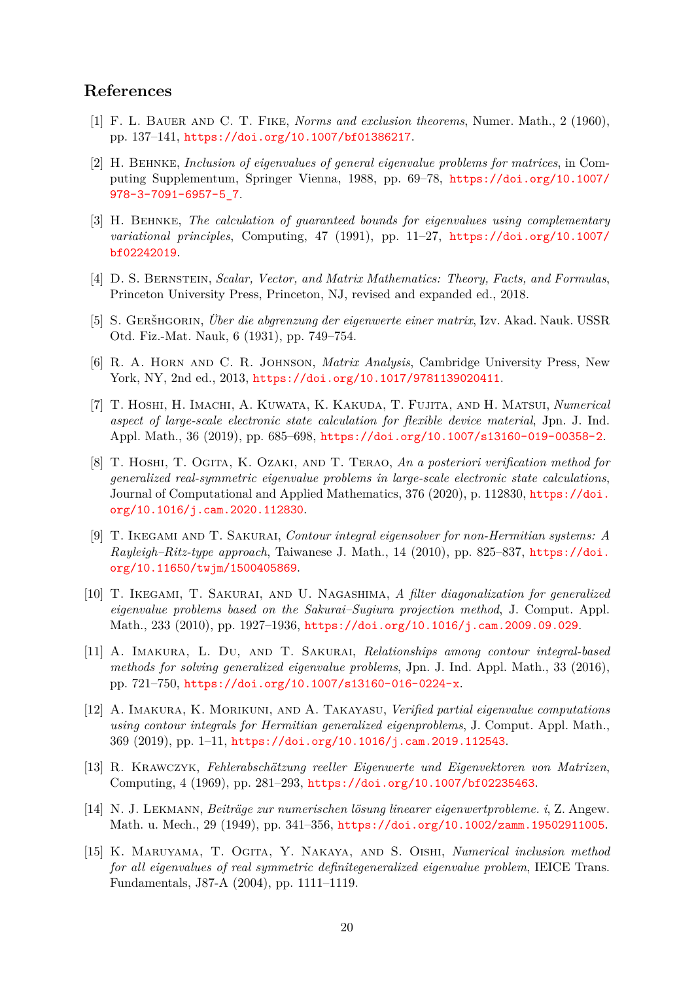## **References**

- <span id="page-19-6"></span>[1] F. L. Bauer and C. T. Fike, *Norms and exclusion theorems*, Numer. Math., 2 (1960), pp. 137–141, <https://doi.org/10.1007/bf01386217>.
- <span id="page-19-2"></span>[2] H. Behnke, *Inclusion of eigenvalues of general eigenvalue problems for matrices*, in Computing Supplementum, Springer Vienna, 1988, pp. 69–78, [https://doi.org/10.1007/](https://doi.org/10.1007/978-3-7091-6957-5_7) [978-3-7091-6957-5\\_7](https://doi.org/10.1007/978-3-7091-6957-5_7).
- <span id="page-19-3"></span>[3] H. Behnke, *The calculation of guaranteed bounds for eigenvalues using complementary variational principles*, Computing, 47 (1991), pp. 11–27, [https://doi.org/10.1007/](https://doi.org/10.1007/bf02242019) [bf02242019](https://doi.org/10.1007/bf02242019).
- <span id="page-19-11"></span>[4] D. S. Bernstein, *Scalar, Vector, and Matrix Mathematics: Theory, Facts, and Formulas*, Princeton University Press, Princeton, NJ, revised and expanded ed., 2018.
- <span id="page-19-5"></span>[5] S. Geršhgorin, *Über die abgrenzung der eigenwerte einer matrix*, Izv. Akad. Nauk. USSR Otd. Fiz.-Mat. Nauk, 6 (1931), pp. 749–754.
- <span id="page-19-7"></span>[6] R. A. Horn and C. R. Johnson, *Matrix Analysis*, Cambridge University Press, New York, NY, 2nd ed., 2013, <https://doi.org/10.1017/9781139020411>.
- <span id="page-19-14"></span>[7] T. Hoshi, H. Imachi, A. Kuwata, K. Kakuda, T. Fujita, and H. Matsui, *Numerical aspect of large-scale electronic state calculation for flexible device material*, Jpn. J. Ind. Appl. Math., 36 (2019), pp. 685–698, <https://doi.org/10.1007/s13160-019-00358-2>.
- <span id="page-19-0"></span>[8] T. Hoshi, T. Ogita, K. Ozaki, and T. Terao, *An a posteriori verification method for generalized real-symmetric eigenvalue problems in large-scale electronic state calculations*, Journal of Computational and Applied Mathematics, 376 (2020), p. 112830, [https://doi.](https://doi.org/10.1016/j.cam.2020.112830) [org/10.1016/j.cam.2020.112830](https://doi.org/10.1016/j.cam.2020.112830).
- <span id="page-19-10"></span>[9] T. Ikegami and T. Sakurai, *Contour integral eigensolver for non-Hermitian systems: A Rayleigh–Ritz-type approach*, Taiwanese J. Math., 14 (2010), pp. 825–837, [https://doi.](https://doi.org/10.11650/twjm/1500405869) [org/10.11650/twjm/1500405869](https://doi.org/10.11650/twjm/1500405869).
- <span id="page-19-12"></span>[10] T. Ikegami, T. Sakurai, and U. Nagashima, *A filter diagonalization for generalized eigenvalue problems based on the Sakurai–Sugiura projection method*, J. Comput. Appl. Math., 233 (2010), pp. 1927–1936, <https://doi.org/10.1016/j.cam.2009.09.029>.
- <span id="page-19-13"></span>[11] A. Imakura, L. Du, and T. Sakurai, *Relationships among contour integral-based methods for solving generalized eigenvalue problems*, Jpn. J. Ind. Appl. Math., 33 (2016), pp. 721–750, <https://doi.org/10.1007/s13160-016-0224-x>.
- <span id="page-19-9"></span>[12] A. Imakura, K. Morikuni, and A. Takayasu, *Verified partial eigenvalue computations using contour integrals for Hermitian generalized eigenproblems*, J. Comput. Appl. Math., 369 (2019), pp. 1–11, <https://doi.org/10.1016/j.cam.2019.112543>.
- <span id="page-19-1"></span>[13] R. Krawczyk, *Fehlerabschätzung reeller Eigenwerte und Eigenvektoren von Matrizen*, Computing, 4 (1969), pp. 281–293, <https://doi.org/10.1007/bf02235463>.
- <span id="page-19-4"></span>[14] N. J. Lekmann, *Beiträge zur numerischen lösung linearer eigenwertprobleme. i*, Z. Angew. Math. u. Mech., 29 (1949), pp. 341–356, <https://doi.org/10.1002/zamm.19502911005>.
- <span id="page-19-8"></span>[15] K. Maruyama, T. Ogita, Y. Nakaya, and S. Oishi, *Numerical inclusion method for all eigenvalues of real symmetric definitegeneralized eigenvalue problem*, IEICE Trans. Fundamentals, J87-A (2004), pp. 1111–1119.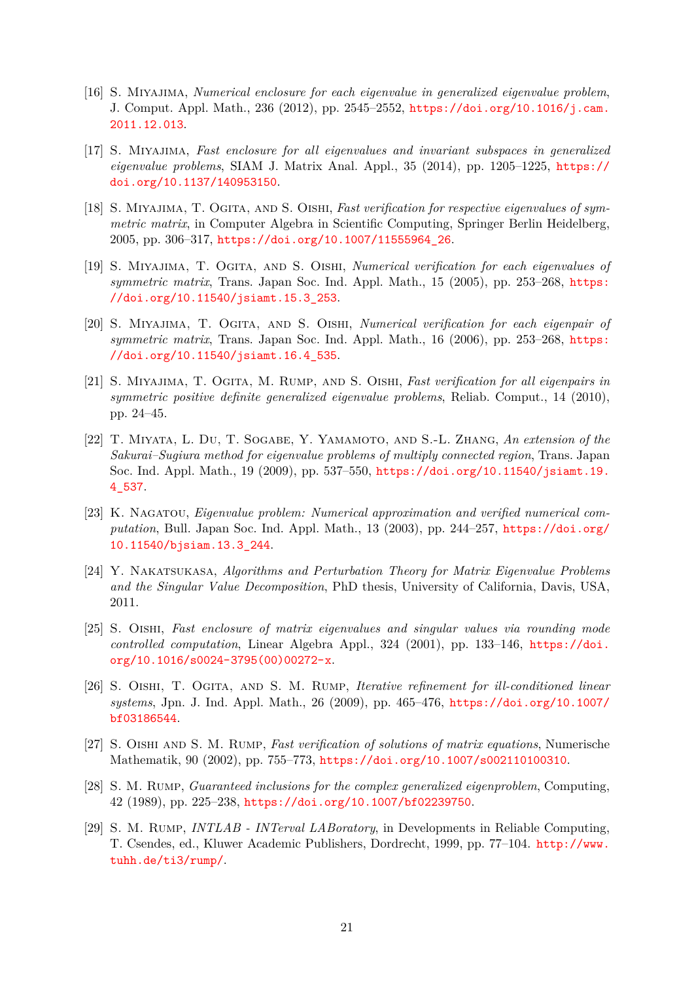- <span id="page-20-8"></span>[16] S. Miyajima, *Numerical enclosure for each eigenvalue in generalized eigenvalue problem*, J. Comput. Appl. Math., 236 (2012), pp. 2545–2552, [https://doi.org/10.1016/j.cam.](https://doi.org/10.1016/j.cam.2011.12.013) [2011.12.013](https://doi.org/10.1016/j.cam.2011.12.013).
- <span id="page-20-9"></span>[17] S. Miyajima, *Fast enclosure for all eigenvalues and invariant subspaces in generalized eigenvalue problems*, SIAM J. Matrix Anal. Appl., 35 (2014), pp. 1205–1225, [https://](https://doi.org/10.1137/140953150) [doi.org/10.1137/140953150](https://doi.org/10.1137/140953150).
- <span id="page-20-6"></span>[18] S. MIYAJIMA, T. OGITA, AND S. OISHI, *Fast verification for respective eigenvalues of symmetric matrix*, in Computer Algebra in Scientific Computing, Springer Berlin Heidelberg, 2005, pp. 306–317, [https://doi.org/10.1007/11555964\\_26](https://doi.org/10.1007/11555964_26).
- <span id="page-20-5"></span>[19] S. Miyajima, T. Ogita, and S. Oishi, *Numerical verification for each eigenvalues of symmetric matrix*, Trans. Japan Soc. Ind. Appl. Math., 15 (2005), pp. 253–268, [https:](https://doi.org/10.11540/jsiamt.15.3_253) [//doi.org/10.11540/jsiamt.15.3\\_253](https://doi.org/10.11540/jsiamt.15.3_253).
- <span id="page-20-7"></span>[20] S. Miyajima, T. Ogita, and S. Oishi, *Numerical verification for each eigenpair of symmetric matrix*, Trans. Japan Soc. Ind. Appl. Math., 16 (2006), pp. 253–268, [https:](https://doi.org/10.11540/jsiamt.16.4_535) [//doi.org/10.11540/jsiamt.16.4\\_535](https://doi.org/10.11540/jsiamt.16.4_535).
- <span id="page-20-4"></span>[21] S. Miyajima, T. Ogita, M. Rump, and S. Oishi, *Fast verification for all eigenpairs in symmetric positive definite generalized eigenvalue problems*, Reliab. Comput., 14 (2010), pp. 24–45.
- <span id="page-20-10"></span>[22] T. Miyata, L. Du, T. Sogabe, Y. Yamamoto, and S.-L. Zhang, *An extension of the Sakurai–Sugiura method for eigenvalue problems of multiply connected region*, Trans. Japan Soc. Ind. Appl. Math., 19 (2009), pp. 537–550, [https://doi.org/10.11540/jsiamt.19.](https://doi.org/10.11540/jsiamt.19.4_537) [4\\_537](https://doi.org/10.11540/jsiamt.19.4_537).
- <span id="page-20-0"></span>[23] K. Nagatou, *Eigenvalue problem: Numerical approximation and verified numerical computation*, Bull. Japan Soc. Ind. Appl. Math., 13 (2003), pp. 244–257, [https://doi.org/](https://doi.org/10.11540/bjsiam.13.3_244) [10.11540/bjsiam.13.3\\_244](https://doi.org/10.11540/bjsiam.13.3_244).
- <span id="page-20-12"></span>[24] Y. Nakatsukasa, *Algorithms and Perturbation Theory for Matrix Eigenvalue Problems and the Singular Value Decomposition*, PhD thesis, University of California, Davis, USA, 2011.
- <span id="page-20-2"></span>[25] S. Oishi, *Fast enclosure of matrix eigenvalues and singular values via rounding mode controlled computation*, Linear Algebra Appl., 324 (2001), pp. 133–146, [https://doi.](https://doi.org/10.1016/s0024-3795(00)00272-x) [org/10.1016/s0024-3795\(00\)00272-x](https://doi.org/10.1016/s0024-3795(00)00272-x).
- <span id="page-20-13"></span>[26] S. Oishi, T. Ogita, and S. M. Rump, *Iterative refinement for ill-conditioned linear systems*, Jpn. J. Ind. Appl. Math., 26 (2009), pp. 465–476, [https://doi.org/10.1007/](https://doi.org/10.1007/bf03186544) [bf03186544](https://doi.org/10.1007/bf03186544).
- <span id="page-20-3"></span>[27] S. Oishi and S. M. Rump, *Fast verification of solutions of matrix equations*, Numerische Mathematik, 90 (2002), pp. 755–773, <https://doi.org/10.1007/s002110100310>.
- <span id="page-20-1"></span>[28] S. M. Rump, *Guaranteed inclusions for the complex generalized eigenproblem*, Computing, 42 (1989), pp. 225–238, <https://doi.org/10.1007/bf02239750>.
- <span id="page-20-11"></span>[29] S. M. Rump, *INTLAB - INTerval LABoratory*, in Developments in Reliable Computing, T. Csendes, ed., Kluwer Academic Publishers, Dordrecht, 1999, pp. 77–104. [http://www.](http://www.tuhh.de/ti3/rump/) [tuhh.de/ti3/rump/](http://www.tuhh.de/ti3/rump/).